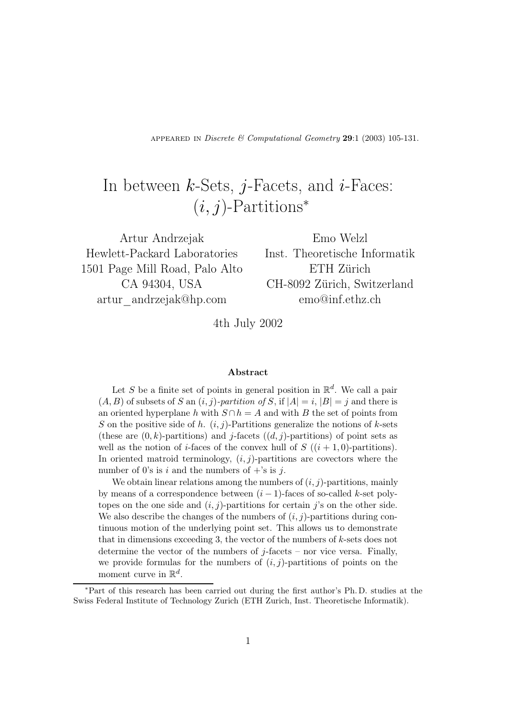APPEARED IN *Discrete*  $\&$  *Computational Geometry* 29:1 (2003) 105-131.

# In between  $k$ -Sets, j-Facets, and  $i$ -Faces:  $(i, j)$ -Partitions<sup>\*</sup>

Artur Andrzejak Hewlett-Packard Laboratories 1501 Page Mill Road, Palo Alto CA 94304, USA artur\_andrzejak@hp.com

Emo Welzl Inst. Theoretische Informatik ETH Zürich CH-8092 Zürich, Switzerland emo@inf.ethz.ch

4th July 2002

#### Abstract

Let S be a finite set of points in general position in  $\mathbb{R}^d$ . We call a pair  $(A, B)$  of subsets of S an  $(i, j)$ -partition of S, if  $|A| = i$ ,  $|B| = j$  and there is an oriented hyperplane h with  $S \cap h = A$  and with B the set of points from S on the positive side of h.  $(i, j)$ -Partitions generalize the notions of k-sets (these are  $(0, k)$ -partitions) and j-facets  $((d, j)$ -partitions) of point sets as well as the notion of *i*-faces of the convex hull of  $S$  ( $(i + 1, 0)$ -partitions). In oriented matroid terminology,  $(i, j)$ -partitions are covectors where the number of 0's is i and the numbers of  $+$ 's is j.

We obtain linear relations among the numbers of  $(i, j)$ -partitions, mainly by means of a correspondence between  $(i - 1)$ -faces of so-called k-set polytopes on the one side and  $(i, j)$ -partitions for certain j's on the other side. We also describe the changes of the numbers of  $(i, j)$ -partitions during continuous motion of the underlying point set. This allows us to demonstrate that in dimensions exceeding 3, the vector of the numbers of k-sets does not determine the vector of the numbers of  $j$ -facets – nor vice versa. Finally, we provide formulas for the numbers of  $(i, j)$ -partitions of points on the moment curve in  $\mathbb{R}^d$ .

<sup>∗</sup>Part of this research has been carried out during the first author's Ph. D. studies at the Swiss Federal Institute of Technology Zurich (ETH Zurich, Inst. Theoretische Informatik).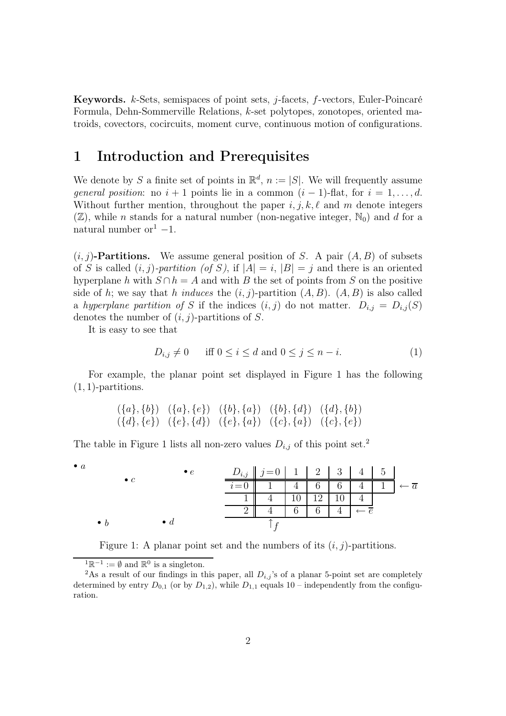**Keywords.**  $k$ -Sets, semispaces of point sets,  $j$ -facets,  $f$ -vectors, Euler-Poincaré Formula, Dehn-Sommerville Relations, k-set polytopes, zonotopes, oriented matroids, covectors, cocircuits, moment curve, continuous motion of configurations.

### 1 Introduction and Prerequisites

We denote by S a finite set of points in  $\mathbb{R}^d$ ,  $n := |S|$ . We will frequently assume *general position*: no  $i + 1$  points lie in a common  $(i - 1)$ -flat, for  $i = 1, \ldots, d$ . Without further mention, throughout the paper  $i, j, k, \ell$  and m denote integers  $(\mathbb{Z})$ , while *n* stands for a natural number (non-negative integer,  $\mathbb{N}_0$ ) and *d* for a natural number or $1 - 1$ .

 $(i, j)$ -Partitions. We assume general position of S. A pair  $(A, B)$  of subsets of S is called  $(i, j)$ -partition (of S), if  $|A| = i$ ,  $|B| = j$  and there is an oriented hyperplane h with  $S \cap h = A$  and with B the set of points from S on the positive side of h; we say that h induces the  $(i, j)$ -partition  $(A, B)$ .  $(A, B)$  is also called a hyperplane partition of S if the indices  $(i, j)$  do not matter.  $D_{i,j} = D_{i,j}(S)$ denotes the number of  $(i, j)$ -partitions of S.

It is easy to see that

$$
D_{i,j} \neq 0 \quad \text{iff } 0 \le i \le d \text{ and } 0 \le j \le n - i. \tag{1}
$$

For example, the planar point set displayed in Figure 1 has the following  $(1, 1)$ -partitions.

$$
(\{a\}, \{b\}) \quad (\{a\}, \{e\}) \quad (\{b\}, \{a\}) \quad (\{b\}, \{d\}) \quad (\{d\}, \{b\})
$$
  

$$
(\{d\}, \{e\}) \quad (\{e\}, \{d\}) \quad (\{e\}, \{a\}) \quad (\{c\}, \{a\}) \quad (\{c\}, \{e\})
$$

The table in Figure 1 lists all non-zero values  $D_{i,j}$  of this point set.<sup>2</sup>

| $\bullet$ a |             |                  |  |                                       |           |                 |  |           |
|-------------|-------------|------------------|--|---------------------------------------|-----------|-----------------|--|-----------|
|             | $\bullet$ c | $\bullet$ $\rho$ |  | $D_{i,j}$   $j=0$   1   2   3   4   5 |           |                 |  |           |
|             |             |                  |  |                                       | 6         | $6\phantom{.}6$ |  | $\cdot a$ |
|             |             |                  |  |                                       | $10^{-1}$ |                 |  |           |
|             |             |                  |  |                                       | ⌒         |                 |  |           |
|             | $\bullet$ h | $\bullet$ d      |  |                                       |           |                 |  |           |

Figure 1: A planar point set and the numbers of its  $(i, j)$ -partitions.

<sup>&</sup>lt;sup>1</sup> $\mathbb{R}^{-1} := \emptyset$  and  $\mathbb{R}^0$  is a singleton.

<sup>&</sup>lt;sup>2</sup>As a result of our findings in this paper, all  $D_{i,j}$ 's of a planar 5-point set are completely determined by entry  $D_{0,1}$  (or by  $D_{1,2}$ ), while  $D_{1,1}$  equals 10 – independently from the configuration.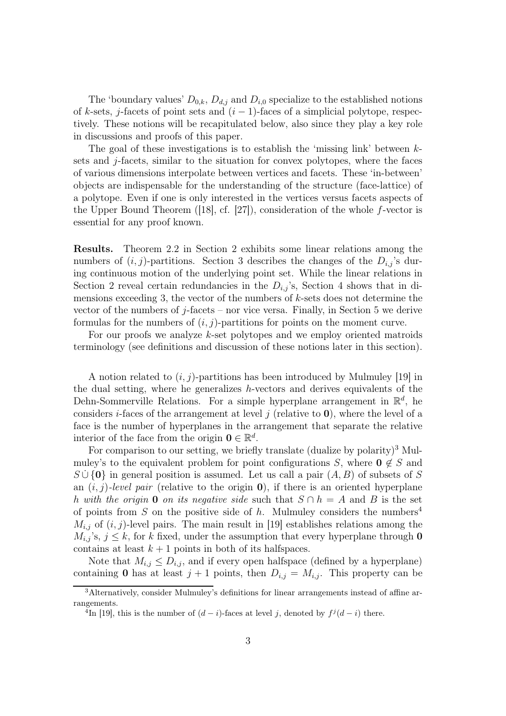The 'boundary values'  $D_{0,k}$ ,  $D_{d,j}$  and  $D_{i,0}$  specialize to the established notions of k-sets, j-facets of point sets and  $(i - 1)$ -faces of a simplicial polytope, respectively. These notions will be recapitulated below, also since they play a key role in discussions and proofs of this paper.

The goal of these investigations is to establish the 'missing link' between  $k$ sets and  $j$ -facets, similar to the situation for convex polytopes, where the faces of various dimensions interpolate between vertices and facets. These 'in-between' objects are indispensable for the understanding of the structure (face-lattice) of a polytope. Even if one is only interested in the vertices versus facets aspects of the Upper Bound Theorem ([18], cf. [27]), consideration of the whole  $f$ -vector is essential for any proof known.

Results. Theorem 2.2 in Section 2 exhibits some linear relations among the numbers of  $(i, j)$ -partitions. Section 3 describes the changes of the  $D_{i,j}$ 's during continuous motion of the underlying point set. While the linear relations in Section 2 reveal certain redundancies in the  $D_{i,j}$ 's, Section 4 shows that in dimensions exceeding 3, the vector of the numbers of k-sets does not determine the vector of the numbers of  $j$ -facets – nor vice versa. Finally, in Section 5 we derive formulas for the numbers of  $(i, j)$ -partitions for points on the moment curve.

For our proofs we analyze k-set polytopes and we employ oriented matroids terminology (see definitions and discussion of these notions later in this section).

A notion related to  $(i, j)$ -partitions has been introduced by Mulmuley [19] in the dual setting, where he generalizes h-vectors and derives equivalents of the Dehn-Sommerville Relations. For a simple hyperplane arrangement in  $\mathbb{R}^d$ , he considers *i*-faces of the arrangement at level j (relative to  $\bf{0}$ ), where the level of a face is the number of hyperplanes in the arrangement that separate the relative interior of the face from the origin  $\mathbf{0} \in \mathbb{R}^d$ .

For comparison to our setting, we briefly translate (dualize by polarity)<sup>3</sup> Mulmuley's to the equivalent problem for point configurations S, where  $0 \notin S$  and  $S \cup \{0\}$  in general position is assumed. Let us call a pair  $(A, B)$  of subsets of S an  $(i, j)$ -level pair (relative to the origin 0), if there is an oriented hyperplane h with the origin 0 on its negative side such that  $S \cap h = A$  and B is the set of points from S on the positive side of h. Mulmuley considers the numbers<sup>4</sup>  $M_{i,j}$  of  $(i, j)$ -level pairs. The main result in [19] establishes relations among the  $M_{i,j}$ 's,  $j \leq k$ , for k fixed, under the assumption that every hyperplane through **0** contains at least  $k + 1$  points in both of its halfspaces.

Note that  $M_{i,j} \leq D_{i,j}$ , and if every open halfspace (defined by a hyperplane) containing 0 has at least  $j + 1$  points, then  $D_{i,j} = M_{i,j}$ . This property can be

<sup>3</sup>Alternatively, consider Mulmuley's definitions for linear arrangements instead of affine arrangements.

<sup>&</sup>lt;sup>4</sup>In [19], this is the number of  $(d-i)$ -faces at level j, denoted by  $f^j(d-i)$  there.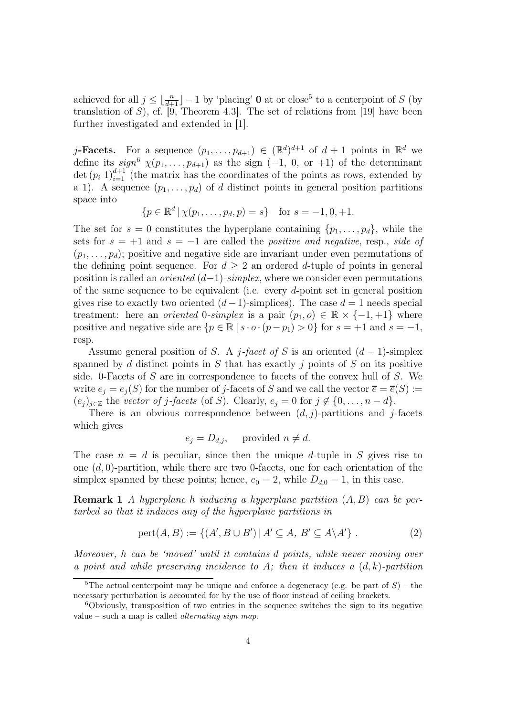achieved for all  $j \leq \lfloor \frac{n}{d+1} \rfloor - 1$  by 'placing' **0** at or close<sup>5</sup> to a centerpoint of S (by translation of S), cf.  $\overline{9}$ , Theorem 4.3. The set of relations from [19] have been further investigated and extended in [1].

j-Facets. For a sequence  $(p_1, \ldots, p_{d+1}) \in (\mathbb{R}^d)^{d+1}$  of  $d+1$  points in  $\mathbb{R}^d$  we define its  $sign^6 \chi(p_1, \ldots, p_{d+1})$  as the sign  $(-1, 0, 0, 1)$  of the determinant det  $(p_i 1)_{i=1}^{d+1}$  (the matrix has the coordinates of the points as rows, extended by a 1). A sequence  $(p_1, \ldots, p_d)$  of d distinct points in general position partitions space into

$$
\{p \in \mathbb{R}^d \,|\, \chi(p_1,\ldots,p_d,p) = s\} \quad \text{for } s = -1,0,+1.
$$

The set for  $s = 0$  constitutes the hyperplane containing  $\{p_1, \ldots, p_d\}$ , while the sets for  $s = +1$  and  $s = -1$  are called the *positive and negative*, resp., *side of*  $(p_1, \ldots, p_d)$ ; positive and negative side are invariant under even permutations of the defining point sequence. For  $d \geq 2$  an ordered d-tuple of points in general position is called an *oriented*  $(d-1)$ -simplex, where we consider even permutations of the same sequence to be equivalent (i.e. every d-point set in general position gives rise to exactly two oriented  $(d-1)$ -simplices). The case  $d=1$  needs special treatment: here an *oriented* 0-simplex is a pair  $(p_1, o) \in \mathbb{R} \times \{-1, +1\}$  where positive and negative side are  $\{p \in \mathbb{R} \mid s \cdot o \cdot (p - p_1) > 0\}$  for  $s = +1$  and  $s = -1$ , resp.

Assume general position of S. A j-facet of S is an oriented  $(d-1)$ -simplex spanned by d distinct points in S that has exactly  $j$  points of S on its positive side. 0-Facets of S are in correspondence to facets of the convex hull of S. We write  $e_i = e_i(S)$  for the number of j-facets of S and we call the vector  $\overline{e} = \overline{e}(S) :=$  $(e_j)_{j\in\mathbb{Z}}$  the vector of j-facets (of S). Clearly,  $e_j = 0$  for  $j \notin \{0, \ldots, n-d\}.$ 

There is an obvious correspondence between  $(d, j)$ -partitions and j-facets which gives

$$
e_j = D_{d,j}, \quad \text{provided } n \neq d.
$$

The case  $n = d$  is peculiar, since then the unique d-tuple in S gives rise to one  $(d, 0)$ -partition, while there are two 0-facets, one for each orientation of the simplex spanned by these points; hence,  $e_0 = 2$ , while  $D_{d,0} = 1$ , in this case.

**Remark 1** A hyperplane h inducing a hyperplane partition  $(A, B)$  can be perturbed so that it induces any of the hyperplane partitions in

$$
pert(A, B) := \{ (A', B \cup B') \mid A' \subseteq A, B' \subseteq A \setminus A' \} .
$$
 (2)

Moreover, h can be 'moved' until it contains d points, while never moving over a point and while preserving incidence to A; then it induces a  $(d, k)$ -partition

<sup>&</sup>lt;sup>5</sup>The actual centerpoint may be unique and enforce a degeneracy (e.g. be part of  $S$ ) – the necessary perturbation is accounted for by the use of floor instead of ceiling brackets.

<sup>6</sup>Obviously, transposition of two entries in the sequence switches the sign to its negative value – such a map is called *alternating sign map.*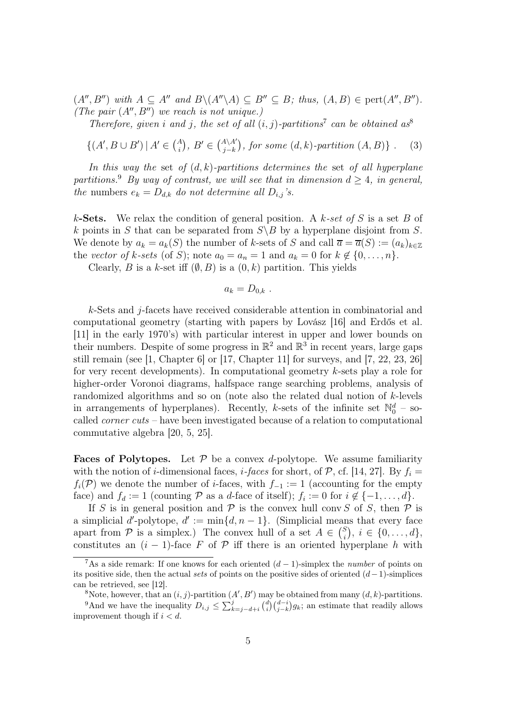$(A'', B'')$  with  $A \subseteq A''$  and  $B \setminus (A'' \setminus A) \subseteq B'' \subseteq B$ ; thus,  $(A, B) \in \text{pert}(A'', B'')$ . (The pair  $(A'', B'')$  we reach is not unique.)

Therefore, given i and j, the set of all  $(i, j)$ -partitions<sup>7</sup> can be obtained as<sup>8</sup>

 $\{(A', B \cup B') \mid A' \in \binom{A}{i}, B' \in \binom{A \setminus A'}{j-k}, \text{ for some } (d, k)\text{-partition } (A, B)\}$ . (3)

In this way the set of  $(d, k)$ -partitions determines the set of all hyperplane partitions.<sup>9</sup> By way of contrast, we will see that in dimension  $d \geq 4$ , in general, the numbers  $e_k = D_{d,k}$  do not determine all  $D_{i,j}$ 's.

k-Sets. We relax the condition of general position. A k-set of S is a set B of k points in S that can be separated from  $S \ B$  by a hyperplane disjoint from S. We denote by  $a_k = a_k(S)$  the number of k-sets of S and call  $\overline{a} = \overline{a}(S) := (a_k)_{k \in \mathbb{Z}}$ the vector of k-sets (of S); note  $a_0 = a_n = 1$  and  $a_k = 0$  for  $k \notin \{0, \ldots, n\}.$ 

Clearly, B is a k-set iff  $(\emptyset, B)$  is a  $(0, k)$  partition. This yields

$$
a_k=D_{0,k}.
$$

k-Sets and j-facets have received considerable attention in combinatorial and computational geometry (starting with papers by Lovász [16] and Erdős et al. [11] in the early 1970's) with particular interest in upper and lower bounds on their numbers. Despite of some progress in  $\mathbb{R}^2$  and  $\mathbb{R}^3$  in recent years, large gaps still remain (see [1, Chapter 6] or [17, Chapter 11] for surveys, and [7, 22, 23, 26] for very recent developments). In computational geometry k-sets play a role for higher-order Voronoi diagrams, halfspace range searching problems, analysis of randomized algorithms and so on (note also the related dual notion of k-levels in arrangements of hyperplanes). Recently, k-sets of the infinite set  $\mathbb{N}_0^d$  – socalled *corner cuts* – have been investigated because of a relation to computational commutative algebra [20, 5, 25].

**Faces of Polytopes.** Let  $P$  be a convex d-polytope. We assume familiarity with the notion of *i*-dimensional faces, *i*-faces for short, of  $P$ , cf. [14, 27]. By  $f_i =$  $f_i(\mathcal{P})$  we denote the number of *i*-faces, with  $f_{-1} := 1$  (accounting for the empty face) and  $f_d := 1$  (counting  $P$  as a d-face of itself);  $f_i := 0$  for  $i \notin \{-1, \ldots, d\}$ .

If S is in general position and  $\mathcal P$  is the convex hull conv S of S, then  $\mathcal P$  is a simplicial d'-polytope,  $d' := \min\{d, n-1\}$ . (Simplicial means that every face apart from P is a simplex.) The convex hull of a set  $A \in \binom{S}{i}$  $i \in \{0, \ldots, d\},\$ constitutes an  $(i - 1)$ -face F of P iff there is an oriented hyperplane h with

<sup>&</sup>lt;sup>7</sup>As a side remark: If one knows for each oriented  $(d-1)$ -simplex the *number* of points on its positive side, then the actual sets of points on the positive sides of oriented  $(d-1)$ -simplices can be retrieved, see [12].

<sup>&</sup>lt;sup>8</sup>Note, however, that an  $(i, j)$ -partition  $(A', B')$  may be obtained from many  $(d, k)$ -partitions.

<sup>&</sup>lt;sup>9</sup>And we have the inequality  $D_{i,j} \leq \sum_{k=j-d+i}^{j} {d \choose i} {d-i \choose j-k} g_k$ ; an estimate that readily allows improvement though if  $i < d$ .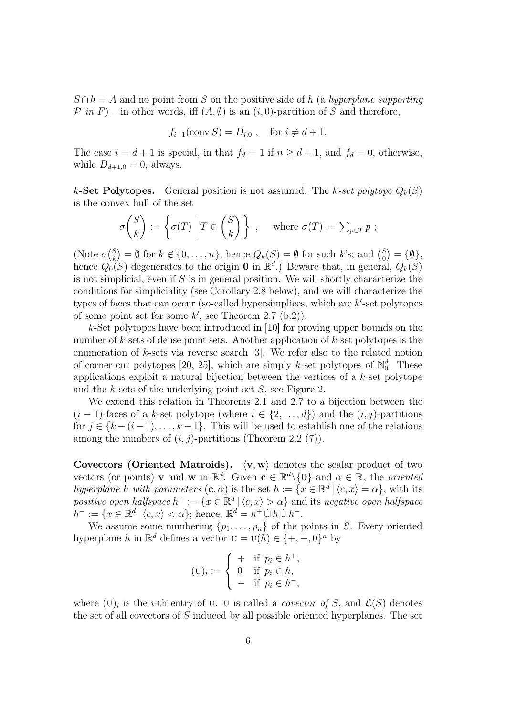$S \cap h = A$  and no point from S on the positive side of h (a hyperplane supporting  $\mathcal{P}$  in  $F$ ) – in other words, iff  $(A, \emptyset)$  is an  $(i, 0)$ -partition of S and therefore,

$$
f_{i-1}(\text{conv } S) = D_{i,0} , \quad \text{for } i \neq d+1.
$$

The case  $i = d + 1$  is special, in that  $f_d = 1$  if  $n \geq d + 1$ , and  $f_d = 0$ , otherwise, while  $D_{d+1,0} = 0$ , always.

k-Set Polytopes. General position is not assumed. The k-set polytope  $Q_k(S)$ is the convex hull of the set

$$
\sigma\binom{S}{k} := \left\{ \sigma(T) \mid T \in \binom{S}{k} \right\}, \quad \text{where } \sigma(T) := \sum_{p \in T} p ;
$$

(Note  $\sigma \binom{S}{k}$  $\mathcal{L}_k^{(S)} = \emptyset$  for  $k \notin \{0, \ldots, n\}$ , hence  $Q_k(S) = \emptyset$  for such k's; and  $\binom{S}{0}$  $S_0^{S}$  = { $\emptyset$ }, hence  $Q_0(S)$  degenerates to the origin **0** in  $\mathbb{R}^d$ .) Beware that, in general,  $Q_k(S)$ is not simplicial, even if  $S$  is in general position. We will shortly characterize the conditions for simpliciality (see Corollary 2.8 below), and we will characterize the types of faces that can occur (so-called hypersimplices, which are  $k'$ -set polytopes of some point set for some  $k'$ , see Theorem 2.7 (b.2)).

k-Set polytopes have been introduced in [10] for proving upper bounds on the number of k-sets of dense point sets. Another application of k-set polytopes is the enumeration of k-sets via reverse search [3]. We refer also to the related notion of corner cut polytopes [20, 25], which are simply k-set polytopes of  $\mathbb{N}_0^d$ . These applications exploit a natural bijection between the vertices of a k-set polytope and the k-sets of the underlying point set S, see Figure 2.

We extend this relation in Theorems 2.1 and 2.7 to a bijection between the  $(i-1)$ -faces of a k-set polytope (where  $i \in \{2,\ldots,d\}$ ) and the  $(i, j)$ -partitions for  $j \in \{k-(i-1), \ldots, k-1\}$ . This will be used to establish one of the relations among the numbers of  $(i, j)$ -partitions (Theorem 2.2 (7)).

Covectors (Oriented Matroids).  $\langle v, w \rangle$  denotes the scalar product of two vectors (or points) **v** and **w** in  $\mathbb{R}^d$ . Given  $\mathbf{c} \in \mathbb{R}^d \setminus \{0\}$  and  $\alpha \in \mathbb{R}$ , the *oriented* hyperplane h with parameters  $(c, \alpha)$  is the set  $h := \{x \in \mathbb{R}^d \mid \langle c, x \rangle = \alpha\}$ , with its positive open halfspace  $h^+ := \{x \in \mathbb{R}^d \mid \langle c, x \rangle > \alpha\}$  and its negative open halfspace  $h^- := \{x \in \mathbb{R}^d \mid \langle c, x \rangle < \alpha\};\$ hence,  $\mathbb{R}^d = h^+ \cup h \cup h^-$ .

We assume some numbering  $\{p_1, \ldots, p_n\}$  of the points in S. Every oriented hyperplane h in  $\mathbb{R}^d$  defines a vector  $U = U(h) \in \{+, -, 0\}^n$  by

$$
(\mathbf{U})_i := \begin{cases} + & \text{if } p_i \in h^+, \\ 0 & \text{if } p_i \in h, \\ - & \text{if } p_i \in h^-, \end{cases}
$$

where  $(U)_i$  is the *i*-th entry of U. U is called a *covector of* S, and  $\mathcal{L}(S)$  denotes the set of all covectors of S induced by all possible oriented hyperplanes. The set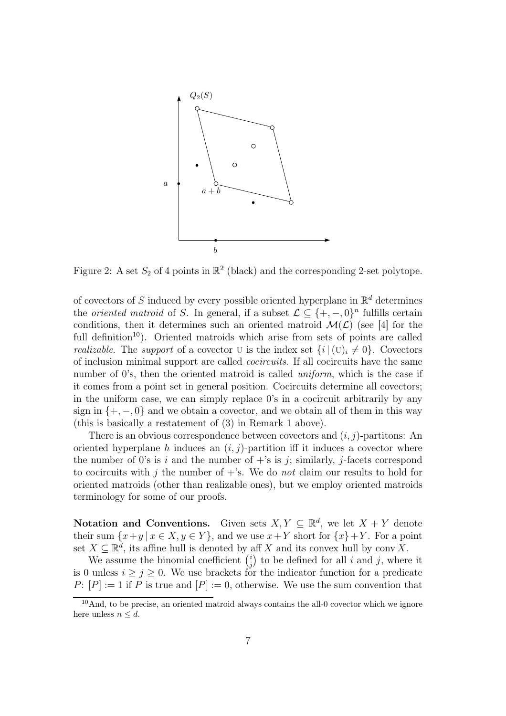

Figure 2: A set  $S_2$  of 4 points in  $\mathbb{R}^2$  (black) and the corresponding 2-set polytope.

of covectors of S induced by every possible oriented hyperplane in  $\mathbb{R}^d$  determines the *oriented matroid* of S. In general, if a subset  $\mathcal{L} \subseteq \{+,-,0\}^n$  fulfills certain conditions, then it determines such an oriented matroid  $\mathcal{M}(\mathcal{L})$  (see [4] for the full definition<sup>10</sup>). Oriented matroids which arise from sets of points are called *realizable.* The *support* of a covector U is the index set  $\{i \mid (U)_i \neq 0\}$ . Covectors of inclusion minimal support are called cocircuits. If all cocircuits have the same number of 0's, then the oriented matroid is called *uniform*, which is the case if it comes from a point set in general position. Cocircuits determine all covectors; in the uniform case, we can simply replace 0's in a cocircuit arbitrarily by any sign in  $\{+,-,0\}$  and we obtain a covector, and we obtain all of them in this way (this is basically a restatement of (3) in Remark 1 above).

There is an obvious correspondence between covectors and  $(i, j)$ -partitions: An oriented hyperplane h induces an  $(i, j)$ -partition iff it induces a covector where the number of 0's is i and the number of  $+$ 's is j; similarly, j-facets correspond to cocircuits with j the number of  $+$ 's. We do not claim our results to hold for oriented matroids (other than realizable ones), but we employ oriented matroids terminology for some of our proofs.

Notation and Conventions. Given sets  $X, Y \subseteq \mathbb{R}^d$ , we let  $X + Y$  denote their sum  $\{x+y \mid x \in X, y \in Y\}$ , and we use  $x+Y$  short for  $\{x\}+Y$ . For a point set  $X \subseteq \mathbb{R}^d$ , its affine hull is denoted by aff X and its convex hull by conv $X$ .

We assume the binomial coefficient  $\binom{i}{i}$  $j$ ) to be defined for all *i* and *j*, where it is 0 unless  $i \geq j \geq 0$ . We use brackets for the indicator function for a predicate P:  $[P] := 1$  if P is true and  $[P] := 0$ , otherwise. We use the sum convention that

<sup>&</sup>lt;sup>10</sup>And, to be precise, an oriented matroid always contains the all-0 covector which we ignore here unless  $n \leq d$ .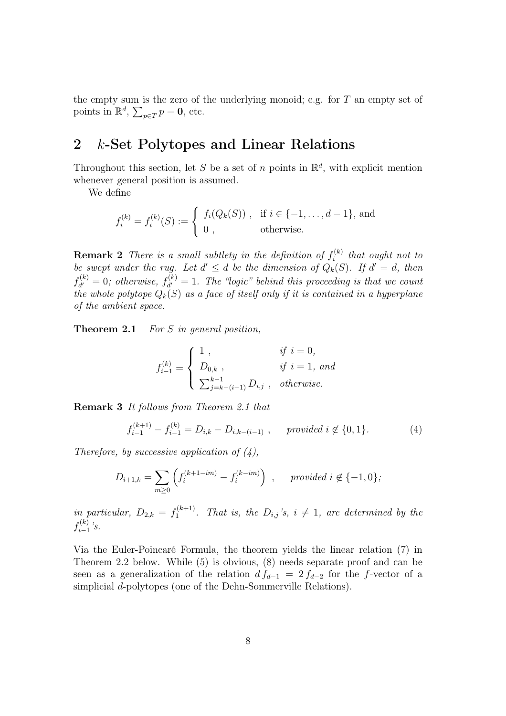the empty sum is the zero of the underlying monoid; e.g. for  $T$  an empty set of points in  $\mathbb{R}^d$ ,  $\sum_{p \in T} p = 0$ , etc.

## 2 k-Set Polytopes and Linear Relations

Throughout this section, let S be a set of n points in  $\mathbb{R}^d$ , with explicit mention whenever general position is assumed.

We define

$$
f_i^{(k)} = f_i^{(k)}(S) := \begin{cases} f_i(Q_k(S)) , & \text{if } i \in \{-1, ..., d-1\}, \text{ and} \\ 0 , & \text{otherwise.} \end{cases}
$$

**Remark 2** There is a small subtlety in the definition of  $f_i^{(k)}$  $i^{(\kappa)}$  that ought not to be swept under the rug. Let  $d' \leq d$  be the dimension of  $Q_k(S)$ . If  $d' = d$ , then  $f_{d'}^{(k)}$  $d'_{d'}=0$ ; otherwise,  $f_{d'}^{(k)}$  $d_d^{(k)} = 1$ . The "logic" behind this proceeding is that we count the whole polytope  $Q_k(S)$  as a face of itself only if it is contained in a hyperplane of the ambient space.

Theorem 2.1 For S in general position,

$$
f_{i-1}^{(k)} = \begin{cases} 1, & if i = 0, \\ D_{0,k}, & if i = 1, and \\ \sum_{j=k-(i-1)}^{k-1} D_{i,j}, & otherwise. \end{cases}
$$

Remark 3 It follows from Theorem 2.1 that

$$
f_{i-1}^{(k+1)} - f_{i-1}^{(k)} = D_{i,k} - D_{i,k-(i-1)}, \quad \text{provided } i \notin \{0, 1\}.
$$
 (4)

Therefore, by successive application of  $(4)$ ,

$$
D_{i+1,k} = \sum_{m \ge 0} \left( f_i^{(k+1-im)} - f_i^{(k-im)} \right) , \quad \text{provided } i \notin \{-1, 0\};
$$

in particular,  $D_{2,k} = f_1^{(k+1)}$  $1^{(k+1)}$ . That is, the  $D_{i,j}$ 's,  $i \neq 1$ , are determined by the  $f_{i-1}^{(k)}$  $\sum_{i=1}^{(\kappa)}$ 's.

Via the Euler-Poincaré Formula, the theorem yields the linear relation (7) in Theorem 2.2 below. While (5) is obvious, (8) needs separate proof and can be seen as a generalization of the relation  $d f_{d-1} = 2 f_{d-2}$  for the f-vector of a simplicial d-polytopes (one of the Dehn-Sommerville Relations).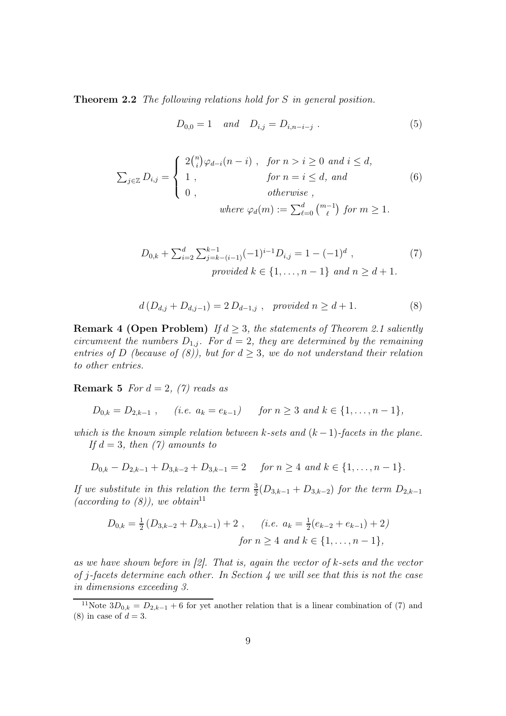Theorem 2.2 The following relations hold for S in general position.

$$
D_{0,0} = 1 \quad and \quad D_{i,j} = D_{i,n-i-j} . \tag{5}
$$

$$
\sum_{j\in\mathbb{Z}} D_{i,j} = \begin{cases}\n2\binom{n}{i}\varphi_{d-i}(n-i) , & \text{for } n > i \ge 0 \text{ and } i \le d, \\
1 , & \text{for } n = i \le d, \text{ and} \\
0 , & \text{otherwise }, \\
\text{where } \varphi_d(m) := \sum_{\ell=0}^d \binom{m-1}{\ell} \text{ for } m \ge 1.\n\end{cases} \tag{6}
$$

$$
D_{0,k} + \sum_{i=2}^{d} \sum_{j=k-(i-1)}^{k-1} (-1)^{i-1} D_{i,j} = 1 - (-1)^d ,
$$
  
provided  $k \in \{1, ..., n-1\}$  and  $n \ge d+1$ . (7)

$$
d(D_{d,j} + D_{d,j-1}) = 2 D_{d-1,j} , \quad provided \ n \ge d+1.
$$
 (8)

**Remark 4 (Open Problem)** If  $d \geq 3$ , the statements of Theorem 2.1 saliently circumvent the numbers  $D_{1,j}$ . For  $d=2$ , they are determined by the remaining entries of D (because of (8)), but for  $d \geq 3$ , we do not understand their relation to other entries.

**Remark 5** For  $d = 2$ , (7) reads as

 $D_{0,k} = D_{2,k-1}$ , (i.e.  $a_k = e_{k-1}$ ) for  $n \geq 3$  and  $k \in \{1, ..., n-1\}$ ,

which is the known simple relation between k-sets and  $(k-1)$ -facets in the plane. If  $d = 3$ , then  $(7)$  amounts to

$$
D_{0,k} - D_{2,k-1} + D_{3,k-2} + D_{3,k-1} = 2 \quad \text{for } n \geq 4 \text{ and } k \in \{1, \ldots, n-1\}.
$$

If we substitute in this relation the term  $\frac{3}{2}(D_{3,k-1}+D_{3,k-2})$  for the term  $D_{2,k-1}$ (according to  $(8)$ ), we obtain<sup>11</sup>

$$
D_{0,k} = \frac{1}{2} \left( D_{3,k-2} + D_{3,k-1} \right) + 2 \;, \quad (i.e. \ a_k = \frac{1}{2} (e_{k-2} + e_{k-1}) + 2)
$$
  
for  $n \ge 4$  and  $k \in \{1, ..., n-1\},$ 

as we have shown before in  $[2]$ . That is, again the vector of k-sets and the vector of j-facets determine each other. In Section 4 we will see that this is not the case in dimensions exceeding 3.

<sup>&</sup>lt;sup>11</sup>Note  $3D_{0,k} = D_{2,k-1} + 6$  for yet another relation that is a linear combination of (7) and (8) in case of  $d = 3$ .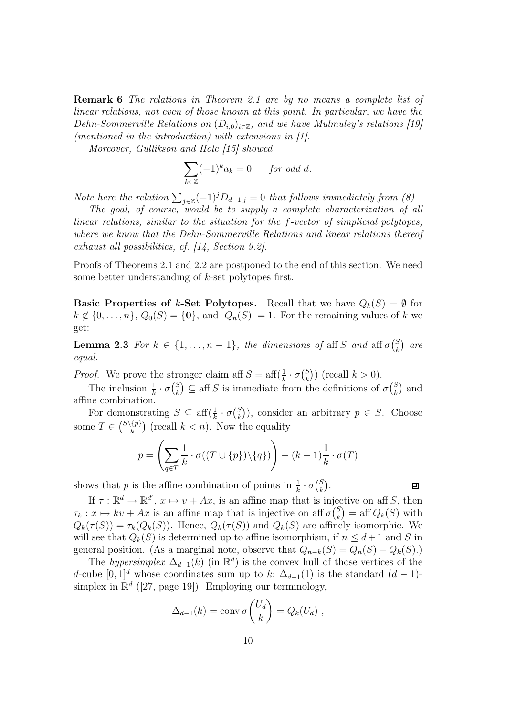Remark 6 The relations in Theorem 2.1 are by no means a complete list of linear relations, not even of those known at this point. In particular, we have the Dehn-Sommerville Relations on  $(D_{i,0})_{i\in\mathbb{Z}}$ , and we have Mulmuley's relations [19] (mentioned in the introduction) with extensions in [1].

Moreover, Gullikson and Hole [15] showed

$$
\sum_{k \in \mathbb{Z}} (-1)^k a_k = 0 \quad \text{for odd } d.
$$

Note here the relation  $\sum_{j\in\mathbb{Z}}(-1)^jD_{d-1,j}=0$  that follows immediately from (8).

The goal, of course, would be to supply a complete characterization of all linear relations, similar to the situation for the f-vector of simplicial polytopes, where we know that the Dehn-Sommerville Relations and linear relations thereof exhaust all possibilities, cf. [14, Section 9.2].

Proofs of Theorems 2.1 and 2.2 are postponed to the end of this section. We need some better understanding of k-set polytopes first.

**Basic Properties of k-Set Polytopes.** Recall that we have  $Q_k(S) = \emptyset$  for  $k \notin \{0, \ldots, n\}, Q_0(S) = \{0\}, \text{ and } |Q_n(S)| = 1.$  For the remaining values of k we get:

**Lemma 2.3** For  $k \in \{1, \ldots, n-1\}$ , the dimensions of aff S and aff  $\sigma\binom{S}{k}$  ${k \choose k}$  are equal.

*Proof.* We prove the stronger claim aff  $S = \text{aff}(\frac{1}{k} \cdot \sigma(\frac{S}{k}))$  ${k \choose k}$  (recall  $k > 0$ ).

The inclusion  $\frac{1}{k} \cdot \sigma \binom{S}{k}$  $\binom{S}{k} \subseteq$  aff S is immediate from the definitions of  $\sigma \binom{S}{k}$  $\binom{S}{k}$  and affine combination.

For demonstrating  $S \subseteq \text{aff}(\frac{1}{k} \cdot \sigma\binom{S}{k})$  $\binom{S}{k}$ ), consider an arbitrary  $p \in S$ . Choose some  $T \in {S \setminus \{p\}}$  $\binom{\{p\}}{k}$  (recall  $k < n$ ). Now the equality

$$
p = \left(\sum_{q \in T} \frac{1}{k} \cdot \sigma((T \cup \{p\}) \setminus \{q\})\right) - (k-1)\frac{1}{k} \cdot \sigma(T)
$$

shows that p is the affine combination of points in  $\frac{1}{k} \cdot \sigma \binom{S}{k}$  $_{k}^{S}).$ 

$$
\Box
$$

If  $\tau : \mathbb{R}^d \to \mathbb{R}^{d'}$ ,  $x \mapsto v + Ax$ , is an affine map that is injective on aff S, then  $\tau_k : x \mapsto kv + Ax$  is an affine map that is injective on aff  $\sigma\binom{S}{k}$  $\binom{S}{k}$  = aff  $Q_k(S)$  with  $Q_k(\tau(S)) = \tau_k(Q_k(S))$ . Hence,  $Q_k(\tau(S))$  and  $Q_k(S)$  are affinely isomorphic. We will see that  $Q_k(S)$  is determined up to affine isomorphism, if  $n \leq d+1$  and S in general position. (As a marginal note, observe that  $Q_{n-k}(S) = Q_n(S) - Q_k(S)$ .)

The hypersimplex  $\Delta_{d-1}(k)$  (in  $\mathbb{R}^d$ ) is the convex hull of those vertices of the d-cube  $[0, 1]^d$  whose coordinates sum up to k;  $\Delta_{d-1}(1)$  is the standard  $(d-1)$ simplex in  $\mathbb{R}^d$  ([27, page 19]). Employing our terminology,

$$
\Delta_{d-1}(k) = \operatorname{conv} \sigma \binom{U_d}{k} = Q_k(U_d) \;,
$$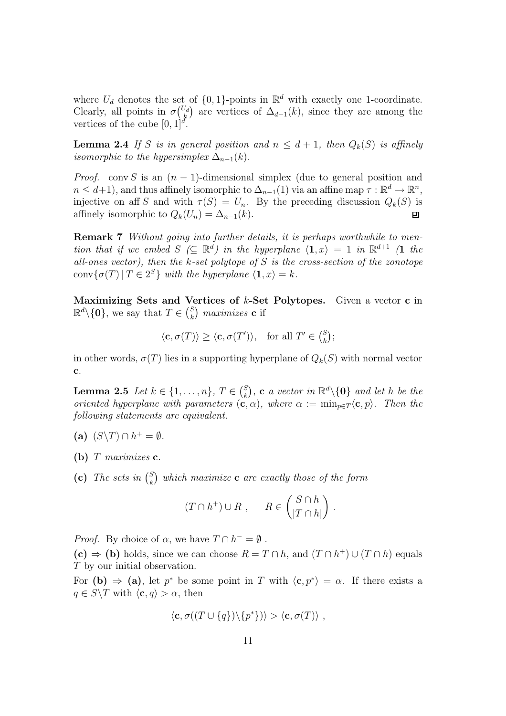where  $U_d$  denotes the set of  $\{0,1\}$ -points in  $\mathbb{R}^d$  with exactly one 1-coordinate. Clearly, all points in  $\sigma\binom{U_d}{k}$  $\mathcal{L}_{k}^{J_d}$  are vertices of  $\Delta_{d-1}(k)$ , since they are among the vertices of the cube  $[0, 1]^d$ .

**Lemma 2.4** If S is in general position and  $n \leq d+1$ , then  $Q_k(S)$  is affinely isomorphic to the hypersimplex  $\Delta_{n-1}(k)$ .

*Proof.* conv S is an  $(n - 1)$ -dimensional simplex (due to general position and  $n \leq d+1$ , and thus affinely isomorphic to  $\Delta_{n-1}(1)$  via an affine map  $\tau : \mathbb{R}^d \to \mathbb{R}^n$ , injective on aff S and with  $\tau(S) = U_n$ . By the preceding discussion  $Q_k(S)$  is affinely isomorphic to  $Q_k(U_n) = \Delta_{n-1}(k)$ .  $\blacksquare$ 

Remark 7 Without going into further details, it is perhaps worthwhile to mention that if we embed  $S \subseteq \mathbb{R}^d$  in the hyperplane  $\langle 1, x \rangle = 1$  in  $\mathbb{R}^{d+1}$  (1 the all-ones vector), then the k-set polytope of  $S$  is the cross-section of the zonotope conv $\{\sigma(T) | T \in 2^S\}$  with the hyperplane  $\langle \mathbf{1}, x \rangle = k$ .

Maximizing Sets and Vertices of k-Set Polytopes. Given a vector c in  $\mathbb{R}^d \setminus \{\mathbf{0}\},\$  we say that  $T \in \binom{S}{k}$  $_{k}^{S})$  maximizes  ${\bf c}$  if

$$
\langle \mathbf{c}, \sigma(T) \rangle \ge \langle \mathbf{c}, \sigma(T') \rangle
$$
, for all  $T' \in {S \choose k}$ ;

in other words,  $\sigma(T)$  lies in a supporting hyperplane of  $Q_k(S)$  with normal vector c.

**Lemma 2.5** Let  $k \in \{1, ..., n\}$ ,  $T \in {S \choose k}$  $\mathcal{E}_k^S$ ), **c** a vector in  $\mathbb{R}^d \setminus \{0\}$  and let h be the oriented hyperplane with parameters  $(c, \alpha)$ , where  $\alpha := \min_{p \in T} \langle c, p \rangle$ . Then the following statements are equivalent.

- (a)  $(S\Y) \cap h^+ = \emptyset$ .
- (b)  $T$  maximizes  $c$ .
- (c) The sets in  $\binom{S}{k}$  $\mathop{}_{k}^S$ ) which maximize  ${\bf c}$  are exactly those of the form

$$
(T \cap h^+) \cup R , \qquad R \in \binom{S \cap h}{|T \cap h|} .
$$

*Proof.* By choice of  $\alpha$ , we have  $T \cap h^- = \emptyset$ .

 $(c) \Rightarrow$  (b) holds, since we can choose  $R = T \cap h$ , and  $(T \cap h^+) \cup (T \cap h)$  equals T by our initial observation.

For (b)  $\Rightarrow$  (a), let p<sup>\*</sup> be some point in T with  $\langle c, p^* \rangle = \alpha$ . If there exists a  $q \in S \backslash T$  with  $\langle \mathbf{c}, q \rangle > \alpha$ , then

$$
\langle \mathbf{c}, \sigma((T \cup \{q\}) \setminus \{p^*\}) \rangle > \langle \mathbf{c}, \sigma(T) \rangle ,
$$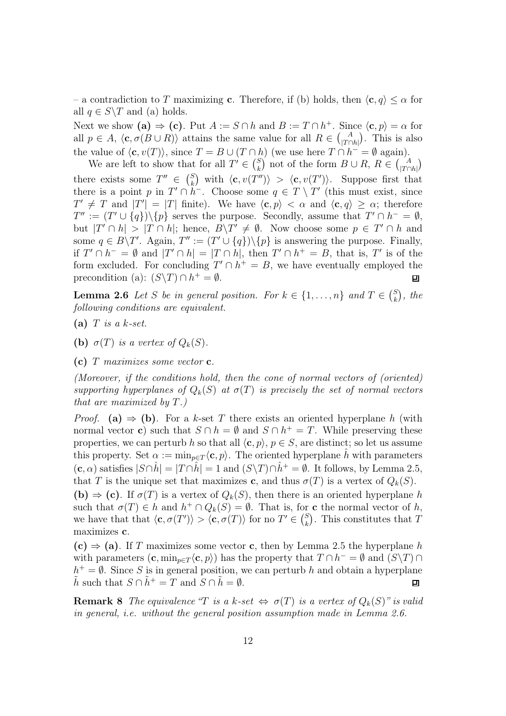– a contradiction to T maximizing c. Therefore, if (b) holds, then  $\langle c, q \rangle \leq \alpha$  for all  $q \in S \backslash T$  and (a) holds.

Next we show (a)  $\Rightarrow$  (c). Put  $A := S \cap h$  and  $B := T \cap h^+$ . Since  $\langle c, p \rangle = \alpha$  for all  $p \in A$ ,  $\langle \mathbf{c}, \sigma(B \cup R) \rangle$  attains the same value for all  $R \in \binom{A}{|T \cap h|}$ . This is also the value of  $\langle \mathbf{c}, v(T) \rangle$ , since  $T = B \cup (T \cap h)$  (we use here  $T \cap h^{-} = \emptyset$  again).

We are left to show that for all  $T' \in \binom{S}{k}$  $\binom{S}{k}$  not of the form  $B \cup R$ ,  $R \in \binom{A}{|T \cap h|}$  $\binom{S}{k}$  with  $\langle \mathbf{c}, v(T'') \rangle > \langle \mathbf{c}, v(T') \rangle$ . Suppose first that there exists some  $T'' \in \binom{S}{k}$ there is a point p in  $T' \cap h^-$ . Choose some  $q \in T \setminus T'$  (this must exist, since  $T' \neq T$  and  $|T'| = |T|$  finite). We have  $\langle c, p \rangle < \alpha$  and  $\langle c, q \rangle \geq \alpha$ ; therefore  $T'' := (T' \cup \{q\}) \setminus \{p\}$  serves the purpose. Secondly, assume that  $T' \cap h^- = \emptyset$ , but  $|T' \cap h| > |T \cap h|$ ; hence,  $B\T' \neq \emptyset$ . Now choose some  $p \in T' \cap h$  and some  $q \in B \backslash T'$ . Again,  $T'' := (T' \cup \{q\}) \backslash \{p\}$  is answering the purpose. Finally, if  $T' \cap h^- = \emptyset$  and  $|T' \cap h| = |T \cap h|$ , then  $T' \cap h^+ = B$ , that is, T' is of the form excluded. For concluding  $T' \cap h^+ = B$ , we have eventually employed the precondition (a):  $(S\Y) \cap h^+ = \emptyset$ . ㅁ

**Lemma 2.6** Let S be in general position. For  $k \in \{1, ..., n\}$  and  $T \in \binom{S}{k}$  $\binom{S}{k}$ , the following conditions are equivalent.

- (a)  $T$  is a k-set.
- (b)  $\sigma(T)$  is a vertex of  $Q_k(S)$ .

(c)  $T$  maximizes some vector  $c$ .

(Moreover, if the conditions hold, then the cone of normal vectors of (oriented) supporting hyperplanes of  $Q_k(S)$  at  $\sigma(T)$  is precisely the set of normal vectors that are maximized by T.)

*Proof.* (a)  $\Rightarrow$  (b). For a k-set T there exists an oriented hyperplane h (with normal vector **c**) such that  $S \cap h = \emptyset$  and  $S \cap h^+ = T$ . While preserving these properties, we can perturb h so that all  $\langle c, p \rangle$ ,  $p \in S$ , are distinct; so let us assume this property. Set  $\alpha := \min_{p \in T} \langle c, p \rangle$ . The oriented hyperplane h with parameters  $(c, \alpha)$  satisfies  $|S \cap \hat{h}| = |T \cap \hat{h}| = 1$  and  $(S \setminus T) \cap \hat{h}^+ = \emptyset$ . It follows, by Lemma 2.5, that T is the unique set that maximizes c, and thus  $\sigma(T)$  is a vertex of  $Q_k(S)$ . (b)  $\Rightarrow$  (c). If  $\sigma(T)$  is a vertex of  $Q_k(S)$ , then there is an oriented hyperplane h such that  $\sigma(T) \in h$  and  $h^+ \cap Q_k(S) = \emptyset$ . That is, for **c** the normal vector of h, we have that that  $\langle \mathbf{c}, \sigma(T') \rangle > \langle \mathbf{c}, \sigma(T') \rangle$  for no  $T' \in \binom{S}{k}$  $\binom{S}{k}$ . This constitutes that T maximizes c.

 $(c) \Rightarrow (a)$ . If T maximizes some vector c, then by Lemma 2.5 the hyperplane h with parameters  $(c, \min_{p \in T} \langle c, p \rangle)$  has the property that  $T \cap h^- = \emptyset$  and  $(S \setminus T) \cap$  $h^+ = \emptyset$ . Since S is in general position, we can perturb h and obtain a hyperplane  $\tilde{h}$  such that  $S \cap \tilde{h}^+ = T$  and  $S \cap \tilde{h} = \emptyset$ . 口

**Remark 8** The equivalence "T is a k-set  $\Leftrightarrow \sigma(T)$  is a vertex of  $Q_k(S)$ " is valid in general, i.e. without the general position assumption made in Lemma 2.6.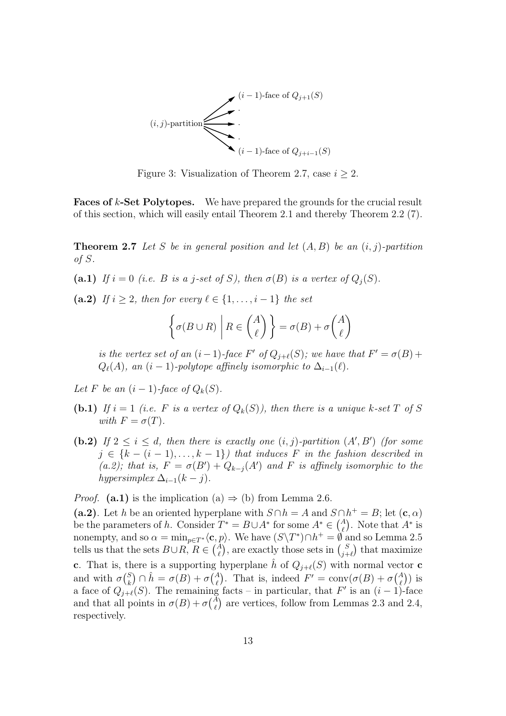

Figure 3: Visualization of Theorem 2.7, case  $i \geq 2$ .

Faces of k-Set Polytopes. We have prepared the grounds for the crucial result of this section, which will easily entail Theorem 2.1 and thereby Theorem 2.2 (7).

**Theorem 2.7** Let S be in general position and let  $(A, B)$  be an  $(i, j)$ -partition of S.

(a.1) If  $i = 0$  (i.e. B is a j-set of S), then  $\sigma(B)$  is a vertex of  $Q_i(S)$ .

(a.2) If  $i \geq 2$ , then for every  $\ell \in \{1, \ldots, i-1\}$  the set

$$
\left\{ \sigma(B \cup R) \middle| R \in \binom{A}{\ell} \right\} = \sigma(B) + \sigma \binom{A}{\ell}
$$

is the vertex set of an  $(i-1)$ -face  $F'$  of  $Q_{j+\ell}(S)$ ; we have that  $F' = \sigma(B)$  +  $Q_{\ell}(A)$ , an  $(i - 1)$ -polytope affinely isomorphic to  $\Delta_{i-1}(\ell)$ .

Let F be an  $(i - 1)$ -face of  $Q_k(S)$ .

- (b.1) If  $i = 1$  (i.e. F is a vertex of  $Q_k(S)$ ), then there is a unique k-set T of S with  $F = \sigma(T)$ .
- (b.2) If  $2 \leq i \leq d$ , then there is exactly one  $(i, j)$ -partition  $(A', B')$  (for some  $j \in \{k - (i - 1), \ldots, k - 1\}$  that induces F in the fashion described in (a.2); that is,  $F = \sigma(B') + Q_{k-j}(A')$  and F is affinely isomorphic to the hypersimplex  $\Delta_{i-1}(k-j)$ .

*Proof.* (a.1) is the implication (a)  $\Rightarrow$  (b) from Lemma 2.6.

(a.2). Let h be an oriented hyperplane with  $S \cap h = A$  and  $S \cap h^+ = B$ ; let  $(c, \alpha)$ be the parameters of h. Consider  $T^* = B \cup A^*$  for some  $A^* \in \binom{A}{\ell}$ . Note that  $A^*$  is nonempty, and so  $\alpha = \min_{p \in T^*} \langle \mathbf{c}, p \rangle$ . We have  $(S \setminus T^*) \cap h^+ = \emptyset$  and so Lemma 2.5 tells us that the sets  $B\cup R$ ,  $R\in \binom{A}{\ell}$ , are exactly those sets in  $\binom{S}{j+1}$  $_{j+\ell}^{S}$  that maximize c. That is, there is a supporting hyperplane  $\hat{h}$  of  $Q_{j+\ell}(S)$  with normal vector c and with  $\sigma \binom{S}{k}$  $\mathcal{L}_{k}^{S}$   $\cap$   $\hat{h} = \sigma(B) + \sigma \binom{A}{\ell}$ . That is, indeed  $F' = \text{conv}(\sigma(B) + \sigma \binom{A}{\ell})$  is a face of  $Q_{j+\ell}(S)$ . The remaining facts – in particular, that F' is an  $(i-1)$ -face and that all points in  $\sigma(B) + \sigma {\binom{A}{\ell}}$  are vertices, follow from Lemmas 2.3 and 2.4, respectively.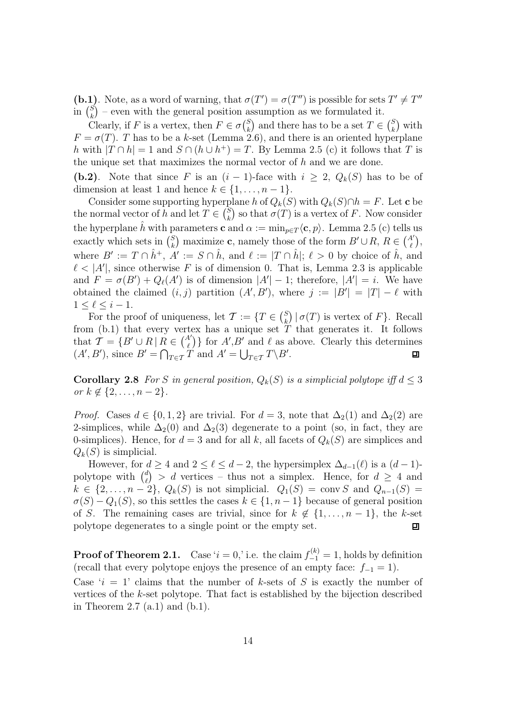(b.1). Note, as a word of warning, that  $\sigma(T') = \sigma(T'')$  is possible for sets  $T' \neq T''$ in  $\binom{S}{k}$  $\binom{S}{k}$  – even with the general position assumption as we formulated it.

Clearly, if F is a vertex, then  $F \in \sigma\binom{S}{k}$  $\binom{S}{k}$  and there has to be a set  $T \in \binom{S}{k}$  $\binom{S}{k}$  with  $F = \sigma(T)$ . T has to be a k-set (Lemma 2.6), and there is an oriented hyperplane h with  $|T \cap h| = 1$  and  $S \cap (h \cup h^+) = T$ . By Lemma 2.5 (c) it follows that T is the unique set that maximizes the normal vector of  $h$  and we are done.

(b.2). Note that since F is an  $(i-1)$ -face with  $i \geq 2$ ,  $Q_k(S)$  has to be of dimension at least 1 and hence  $k \in \{1, \ldots, n-1\}.$ 

Consider some supporting hyperplane h of  $Q_k(S)$  with  $Q_k(S) \cap h = F$ . Let **c** be the normal vector of h and let  $T \in \binom{S}{k}$  $\binom{S}{k}$  so that  $\sigma(T)$  is a vertex of F. Now consider the hyperplane  $\hat{h}$  with parameters **c** and  $\alpha := \min_{p \in T} \langle c, p \rangle$ . Lemma 2.5 (c) tells us exactly which sets in  $\binom{S}{k}$ s) maximize **c**, namely those of the form  $B' \cup R$ ,  $R \in \binom{A'}{\ell}$ , where  $B' := T \cap \hat{h}^+, A' := S \cap \hat{h}$ , and  $\ell := |T \cap \hat{h}|; \ell > 0$  by choice of  $\hat{h}$ , and  $\ell$  < |A'|, since otherwise F is of dimension 0. That is, Lemma 2.3 is applicable and  $F = \sigma(B') + Q_{\ell}(A')$  is of dimension  $|A'| - 1$ ; therefore,  $|A'| = i$ . We have obtained the claimed  $(i, j)$  partition  $(A', B')$ , where  $j := |B'| = |T| - \ell$  with  $1 \leq \ell \leq i-1$ .

For the proof of uniqueness, let  $\mathcal{T} := \{T \in \binom{S}{k}$  $_{k}^{S}$  |  $\sigma(T)$  is vertex of F}. Recall from  $(b.1)$  that every vertex has a unique set T that generates it. It follows that  $\mathcal{T} = \{B' \cup R \mid R \in \binom{A'}{\ell}\}\$  for  $A', B'$  and  $\ell$  as above. Clearly this determines  $(A', B')$ , since  $B' = \bigcap_{T \in \mathcal{T}} T$  and  $A' = \bigcup_{T \in \mathcal{T}} T \backslash B'$ .

**Corollary 2.8** For S in general position,  $Q_k(S)$  is a simplicial polytope iff  $d \leq 3$ *or*  $k \notin \{2, ..., n-2\}$ .

*Proof.* Cases  $d \in \{0, 1, 2\}$  are trivial. For  $d = 3$ , note that  $\Delta_2(1)$  and  $\Delta_2(2)$  are 2-simplices, while  $\Delta_2(0)$  and  $\Delta_2(3)$  degenerate to a point (so, in fact, they are 0-simplices). Hence, for  $d = 3$  and for all k, all facets of  $Q_k(S)$  are simplices and  $Q_k(S)$  is simplicial.

However, for  $d \geq 4$  and  $2 \leq \ell \leq d-2$ , the hypersimplex  $\Delta_{d-1}(\ell)$  is a  $(d-1)$ polytope with  $\binom{d}{\ell}$  $\binom{d}{\ell}$  > d vertices – thus not a simplex. Hence, for  $d \geq 4$  and  $k \in \{2,\ldots,n-2\}$ ,  $Q_k(S)$  is not simplicial.  $Q_1(S) = \text{conv } S$  and  $Q_{n-1}(S) =$  $\sigma(S) - Q_1(S)$ , so this settles the cases  $k \in \{1, n-1\}$  because of general position of S. The remaining cases are trivial, since for  $k \notin \{1, \ldots, n-1\}$ , the k-set polytope degenerates to a single point or the empty set. 回

**Proof of Theorem 2.1.** Case ' $i = 0$ ,' i.e. the claim  $f_{-1}^{(k)} = 1$ , holds by definition (recall that every polytope enjoys the presence of an empty face:  $f_{-1} = 1$ ).

Case 'i = 1' claims that the number of k-sets of S is exactly the number of vertices of the k-set polytope. That fact is established by the bijection described in Theorem 2.7  $(a.1)$  and  $(b.1)$ .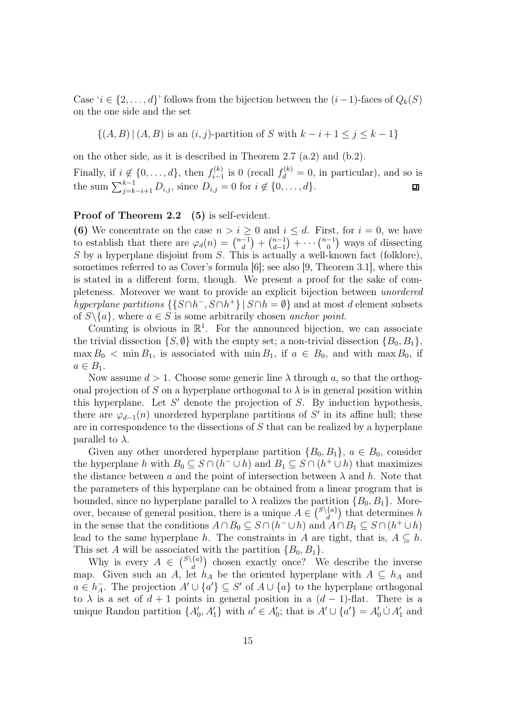Case ' $i \in \{2, \ldots, d\}$ ' follows from the bijection between the  $(i-1)$ -faces of  $Q_k(S)$ on the one side and the set

$$
\{(A, B) | (A, B) \text{ is an } (i, j)\text{-partition of } S \text{ with } k - i + 1 \le j \le k - 1\}
$$

on the other side, as it is described in Theorem 2.7 (a.2) and (b.2). Finally, if  $i \notin \{0, \ldots, d\}$ , then  $f_{i-1}^{(k)}$  $j_{i-1}^{(k)}$  is 0 (recall  $f_d^{(k)} = 0$ , in particular), and so is the sum  $\sum_{j=k-i+1}^{k-1} D_{i,j}$ , since  $D_{i,j} = 0$  for  $i \notin \{0, ..., d\}$ .

#### Proof of Theorem 2.2 (5) is self-evident.

(6) We concentrate on the case  $n > i \geq 0$  and  $i \leq d$ . First, for  $i = 0$ , we have to establish that there are  $\varphi_d(n) = \binom{n-1}{d}$  $\binom{-1}{d} + \binom{n-1}{d-1}$  $\binom{n-1}{d-1} + \cdots \binom{n-1}{0}$  $\binom{-1}{0}$  ways of dissecting S by a hyperplane disjoint from S. This is actually a well-known fact (folklore), sometimes referred to as Cover's formula [6]; see also [9, Theorem 3.1], where this is stated in a different form, though. We present a proof for the sake of completeness. Moreover we want to provide an explicit bijection between unordered hyperplane partitions  $\{\{S \cap h^-, S \cap h^+\} \mid S \cap h = \emptyset\}$  and at most d element subsets of  $S \setminus \{a\}$ , where  $a \in S$  is some arbitrarily chosen anchor point.

Counting is obvious in  $\mathbb{R}^1$ . For the announced bijection, we can associate the trivial dissection  $\{S, \emptyset\}$  with the empty set; a non-trivial dissection  $\{B_0, B_1\}$ ,  $\max B_0 < \min B_1$ , is associated with  $\min B_1$ , if  $a \in B_0$ , and with  $\max B_0$ , if  $a \in B_1$ .

Now assume  $d > 1$ . Choose some generic line  $\lambda$  through a, so that the orthogonal projection of S on a hyperplane orthogonal to  $\lambda$  is in general position within this hyperplane. Let  $S'$  denote the projection of  $S$ . By induction hypothesis, there are  $\varphi_{d-1}(n)$  unordered hyperplane partitions of S' in its affine hull; these are in correspondence to the dissections of S that can be realized by a hyperplane parallel to  $\lambda$ .

Given any other unordered hyperplane partition  ${B_0, B_1}$ ,  $a \in B_0$ , consider the hyperplane h with  $B_0 \subseteq S \cap (h^- \cup h)$  and  $B_1 \subseteq S \cap (h^+ \cup h)$  that maximizes the distance between a and the point of intersection between  $\lambda$  and h. Note that the parameters of this hyperplane can be obtained from a linear program that is bounded, since no hyperplane parallel to  $\lambda$  realizes the partition  $\{B_0, B_1\}$ . Moreover, because of general position, there is a unique  $A \in \binom{S\setminus\{a\}}{d}$  $\binom{\{a\}}{d}$  that determines h in the sense that the conditions  $A \cap B_0 \subseteq S \cap (h^- \cup h)$  and  $A \cap B_1 \subseteq S \cap (h^+ \cup h)$ lead to the same hyperplane h. The constraints in A are tight, that is,  $A \subseteq h$ . This set A will be associated with the partition  $\{B_0, B_1\}.$ 

Why is every  $A \in \binom{S\setminus\{a\}}{d}$  $\begin{bmatrix} \{a\} \\ d \end{bmatrix}$  chosen exactly once? We describe the inverse map. Given such an A, let  $h_A$  be the oriented hyperplane with  $A \subseteq h_A$  and  $a \in h_A^ \overline{A}$ . The projection  $A' \cup \{a'\} \subseteq S'$  of  $A \cup \{a\}$  to the hyperplane orthogonal to  $\lambda$  is a set of  $d + 1$  points in general position in a  $(d - 1)$ -flat. There is a unique Randon partition  $\{A'_0, A'_1\}$  with  $a' \in A'_0$ ; that is  $A' \cup \{a'\} = A'_0 \cup A'_1$  and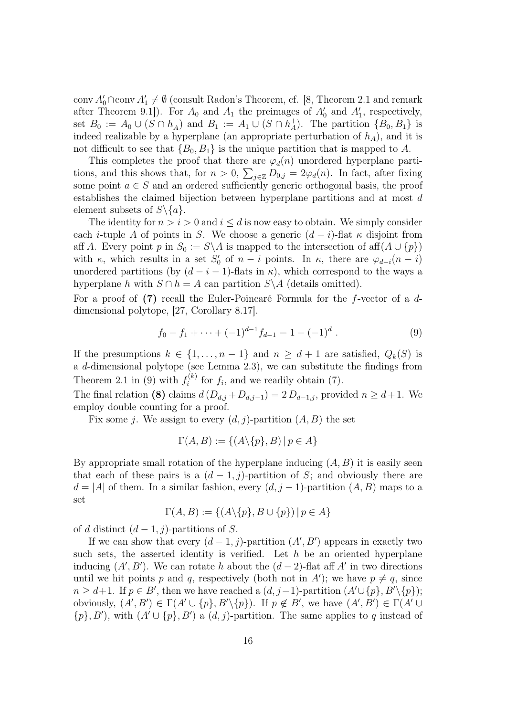conv  $A'_0 \cap \text{conv } A'_1 \neq \emptyset$  (consult Radon's Theorem, cf. [8, Theorem 2.1 and remark after Theorem 9.1]). For  $A_0$  and  $A_1$  the preimages of  $A'_0$  and  $A'_1$ , respectively, set  $B_0 := A_0 \cup (S \cap h_A^-)$  $_{A}^{-}$ ) and  $B_1 := A_1 \cup (S \cap h_{A}^{+})$  $_A^+$ ). The partition  $\{B_0, B_1\}$  is indeed realizable by a hyperplane (an appropriate perturbation of  $h_A$ ), and it is not difficult to see that  ${B_0, B_1}$  is the unique partition that is mapped to A.

This completes the proof that there are  $\varphi_d(n)$  unordered hyperplane partitions, and this shows that, for  $n > 0$ ,  $\sum_{j \in \mathbb{Z}} D_{0,j} = 2\varphi_d(n)$ . In fact, after fixing some point  $a \in S$  and an ordered sufficiently generic orthogonal basis, the proof establishes the claimed bijection between hyperplane partitions and at most d element subsets of  $S \setminus \{a\}.$ 

The identity for  $n > i > 0$  and  $i < d$  is now easy to obtain. We simply consider each *i*-tuple A of points in S. We choose a generic  $(d - i)$ -flat  $\kappa$  disjoint from aff A. Every point p in  $S_0 := S \backslash A$  is mapped to the intersection of aff $(A \cup \{p\})$ with  $\kappa$ , which results in a set  $S'_0$  of  $n-i$  points. In  $\kappa$ , there are  $\varphi_{d-i}(n-i)$ unordered partitions (by  $(d - i - 1)$ -flats in  $\kappa$ ), which correspond to the ways a hyperplane h with  $S \cap h = A$  can partition  $S \setminus A$  (details omitted).

For a proof of (7) recall the Euler-Poincaré Formula for the f-vector of a ddimensional polytope, [27, Corollary 8.17].

$$
f_0 - f_1 + \dots + (-1)^{d-1} f_{d-1} = 1 - (-1)^d.
$$
 (9)

If the presumptions  $k \in \{1, \ldots, n-1\}$  and  $n \geq d+1$  are satisfied,  $Q_k(S)$  is a d-dimensional polytope (see Lemma 2.3), we can substitute the findings from Theorem 2.1 in (9) with  $f_i^{(k)}$  $i^{(k)}$  for  $f_i$ , and we readily obtain (7).

The final relation (8) claims  $d(D_{d,j}+D_{d,j-1})=2D_{d-1,j}$ , provided  $n \geq d+1$ . We employ double counting for a proof.

Fix some j. We assign to every  $(d, j)$ -partition  $(A, B)$  the set

$$
\Gamma(A, B) := \{ (A \backslash \{p\}, B) \mid p \in A \}
$$

By appropriate small rotation of the hyperplane inducing  $(A, B)$  it is easily seen that each of these pairs is a  $(d-1, j)$ -partition of S; and obviously there are  $d = |A|$  of them. In a similar fashion, every  $(d, j - 1)$ -partition  $(A, B)$  maps to a set

$$
\Gamma(A, B) := \{ (A \setminus \{p\}, B \cup \{p\}) \mid p \in A \}
$$

of d distinct  $(d-1, j)$ -partitions of S.

If we can show that every  $(d-1, j)$ -partition  $(A', B')$  appears in exactly two such sets, the asserted identity is verified. Let  $h$  be an oriented hyperplane inducing  $(A', B')$ . We can rotate h about the  $(d-2)$ -flat aff A' in two directions until we hit points p and q, respectively (both not in A'); we have  $p \neq q$ , since  $n \geq d+1$ . If  $p \in B'$ , then we have reached a  $(d, j-1)$ -partition  $(A' \cup \{p\}, B' \setminus \{p\})$ ; obviously,  $(A', B') \in \Gamma(A' \cup \{p\}, B' \setminus \{p\})$ . If  $p \notin B'$ , we have  $(A', B') \in \Gamma(A' \cup$  $\{p\}, B'$ ), with  $(A' \cup \{p\}, B')$  a  $(d, j)$ -partition. The same applies to q instead of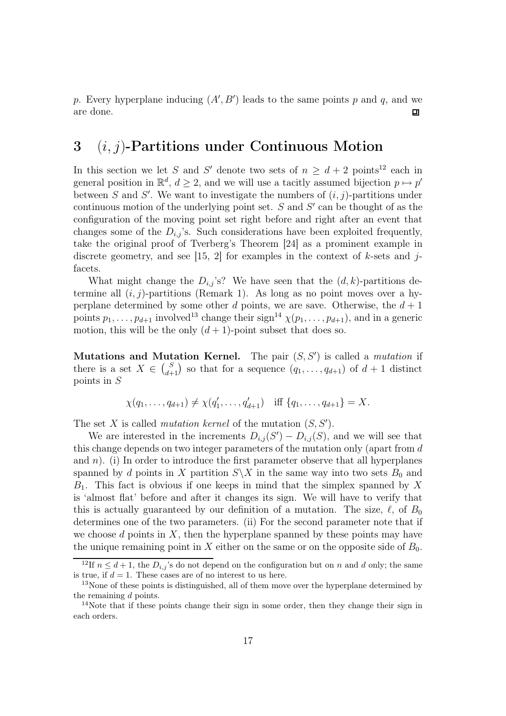p. Every hyperplane inducing  $(A', B')$  leads to the same points p and q, and we are done.  $\Box$ 

### 3  $(i, j)$ -Partitions under Continuous Motion

In this section we let S and S' denote two sets of  $n \geq d+2$  points<sup>12</sup> each in general position in  $\mathbb{R}^d$ ,  $d \geq 2$ , and we will use a tacitly assumed bijection  $p \mapsto p'$ between S and S'. We want to investigate the numbers of  $(i, j)$ -partitions under continuous motion of the underlying point set.  $S$  and  $S'$  can be thought of as the configuration of the moving point set right before and right after an event that changes some of the  $D_{i,j}$ 's. Such considerations have been exploited frequently, take the original proof of Tverberg's Theorem [24] as a prominent example in discrete geometry, and see [15, 2] for examples in the context of  $k$ -sets and  $j$ facets.

What might change the  $D_{i,j}$ 's? We have seen that the  $(d, k)$ -partitions determine all  $(i, j)$ -partitions (Remark 1). As long as no point moves over a hyperplane determined by some other d points, we are save. Otherwise, the  $d+1$ points  $p_1, \ldots, p_{d+1}$  involved<sup>13</sup> change their sign<sup>14</sup>  $\chi(p_1, \ldots, p_{d+1})$ , and in a generic motion, this will be the only  $(d+1)$ -point subset that does so.

Mutations and Mutation Kernel. The pair  $(S, S')$  is called a *mutation* if there is a set  $X \in \binom{S}{d+1}$  so that for a sequence  $(q_1, \ldots, q_{d+1})$  of  $d+1$  distinct points in S

$$
\chi(q_1,\ldots,q_{d+1}) \neq \chi(q'_1,\ldots,q'_{d+1})
$$
 iff  $\{q_1,\ldots,q_{d+1}\}=X$ .

The set X is called *mutation kernel* of the mutation  $(S, S')$ .

We are interested in the increments  $D_{i,j}(S') - D_{i,j}(S)$ , and we will see that this change depends on two integer parameters of the mutation only (apart from d and  $n$ ). (i) In order to introduce the first parameter observe that all hyperplanes spanned by d points in X partition  $S\backslash X$  in the same way into two sets  $B_0$  and  $B_1$ . This fact is obvious if one keeps in mind that the simplex spanned by X is 'almost flat' before and after it changes its sign. We will have to verify that this is actually guaranteed by our definition of a mutation. The size,  $\ell$ , of  $B_0$ determines one of the two parameters. (ii) For the second parameter note that if we choose  $d$  points in  $X$ , then the hyperplane spanned by these points may have the unique remaining point in X either on the same or on the opposite side of  $B_0$ .

<sup>&</sup>lt;sup>12</sup>If  $n \leq d+1$ , the  $D_{i,j}$ 's do not depend on the configuration but on n and d only; the same is true, if  $d = 1$ . These cases are of no interest to us here.

<sup>&</sup>lt;sup>13</sup>None of these points is distinguished, all of them move over the hyperplane determined by the remaining  $d$  points.

<sup>&</sup>lt;sup>14</sup>Note that if these points change their sign in some order, then they change their sign in each orders.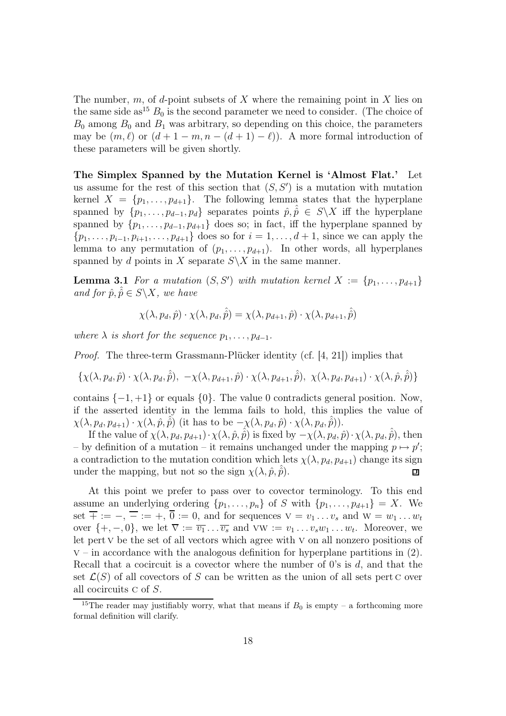The number, m, of d-point subsets of X where the remaining point in X lies on the same side as<sup>15</sup>  $B_0$  is the second parameter we need to consider. (The choice of  $B_0$  among  $B_0$  and  $B_1$  was arbitrary, so depending on this choice, the parameters may be  $(m, \ell)$  or  $(d + 1 - m, n - (d + 1) - \ell)$ . A more formal introduction of these parameters will be given shortly.

The Simplex Spanned by the Mutation Kernel is 'Almost Flat.' Let us assume for the rest of this section that  $(S, S')$  is a mutation with mutation kernel  $X = \{p_1, \ldots, p_{d+1}\}.$  The following lemma states that the hyperplane spanned by  $\{p_1, \ldots, p_{d-1}, p_d\}$  separates points  $\hat{p}, \hat{\hat{p}} \in S \setminus X$  iff the hyperplane spanned by  $\{p_1, \ldots, p_{d-1}, p_{d+1}\}\)$  does so; in fact, iff the hyperplane spanned by  $\{p_1, \ldots, p_{i-1}, p_{i+1}, \ldots, p_{d+1}\}\)$  does so for  $i = 1, \ldots, d+1$ , since we can apply the lemma to any permutation of  $(p_1, \ldots, p_{d+1})$ . In other words, all hyperplanes spanned by d points in X separate  $S\X$  in the same manner.

**Lemma 3.1** For a mutation  $(S, S')$  with mutation kernel  $X := \{p_1, \ldots, p_{d+1}\}\$ and for  $\hat{p}, \hat{\hat{p}} \in S \backslash X$ , we have

$$
\chi(\lambda, p_d, \hat{p}) \cdot \chi(\lambda, p_d, \hat{\hat{p}}) = \chi(\lambda, p_{d+1}, \hat{p}) \cdot \chi(\lambda, p_{d+1}, \hat{\hat{p}})
$$

where  $\lambda$  is short for the sequence  $p_1, \ldots, p_{d-1}$ .

Proof. The three-term Grassmann-Plücker identity (cf. [4, 21]) implies that

$$
\{\chi(\lambda, p_d, \hat{p}) \cdot \chi(\lambda, p_d, \hat{\hat{p}}), -\chi(\lambda, p_{d+1}, \hat{p}) \cdot \chi(\lambda, p_{d+1}, \hat{\hat{p}}), \chi(\lambda, p_d, p_{d+1}) \cdot \chi(\lambda, \hat{p}, \hat{\hat{p}})\}\
$$

contains  $\{-1, +1\}$  or equals  $\{0\}$ . The value 0 contradicts general position. Now, if the asserted identity in the lemma fails to hold, this implies the value of  $\chi(\lambda, p_d, p_{d+1}) \cdot \chi(\lambda, \hat{p}, \hat{\hat{p}})$  (it has to be  $-\chi(\lambda, p_d, \hat{p}) \cdot \chi(\lambda, p_d, \hat{\hat{p}})$ ).

If the value of  $\chi(\lambda, p_d, p_{d+1})\cdot \chi(\lambda, \hat{p}, \hat{\hat{p}})$  is fixed by  $-\chi(\lambda, p_d, \hat{p})\cdot \chi(\lambda, p_d, \hat{p})$ , then – by definition of a mutation – it remains unchanged under the mapping  $p \mapsto p'$ ; a contradiction to the mutation condition which lets  $\chi(\lambda, p_d, p_{d+1})$  change its sign under the mapping, but not so the sign  $\chi(\lambda, \hat{p}, \hat{\hat{p}})$ . 凹

At this point we prefer to pass over to covector terminology. To this end assume an underlying ordering  $\{p_1, \ldots, p_n\}$  of S with  $\{p_1, \ldots, p_{d+1}\} = X$ . We set  $\overline{+} := -$ ,  $\overline{-} := +$ ,  $\overline{0} := 0$ , and for sequences  $V = v_1 \dots v_s$  and  $W = w_1 \dots w_t$ over  $\{+, -, 0\}$ , we let  $\overline{v} := \overline{v_1} \dots \overline{v_s}$  and  $vw := v_1 \dots v_s w_1 \dots w_t$ . Moreover, we let pert v be the set of all vectors which agree with v on all nonzero positions of  $v$  – in accordance with the analogous definition for hyperplane partitions in  $(2)$ . Recall that a cocircuit is a covector where the number of  $0$ 's is d, and that the set  $\mathcal{L}(S)$  of all covectors of S can be written as the union of all sets pert C over all cocircuits c of S.

<sup>&</sup>lt;sup>15</sup>The reader may justifiably worry, what that means if  $B_0$  is empty – a forthcoming more formal definition will clarify.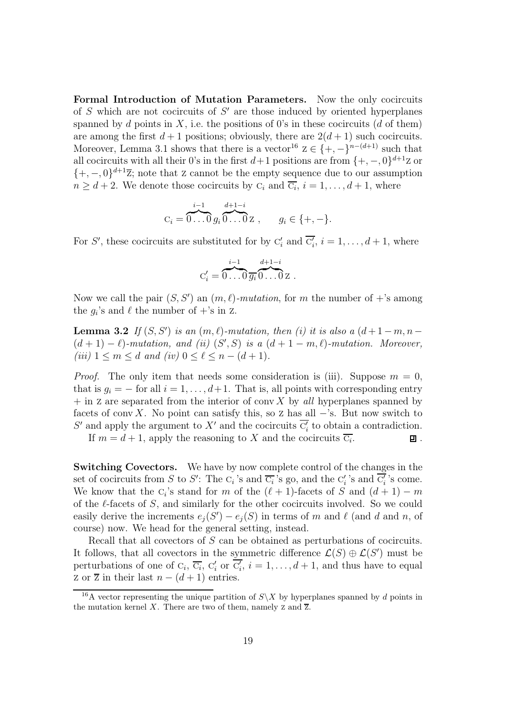Formal Introduction of Mutation Parameters. Now the only cocircuits of  $S$  which are not cocircuits of  $S'$  are those induced by oriented hyperplanes spanned by d points in X, i.e. the positions of 0's in these cocircuits (d of them) are among the first  $d+1$  positions; obviously, there are  $2(d+1)$  such cocircuits. Moreover, Lemma 3.1 shows that there is a vector<sup>16</sup>  $z \in \{+, -\}^{n-(d+1)}$  such that all cocircuits with all their 0's in the first  $d+1$  positions are from  $\{+,-,0\}^{d+1}$ Z or  $\{+, -, 0\}^{d+1}\overline{z}$ ; note that z cannot be the empty sequence due to our assumption  $n \geq d+2$ . We denote those cocircuits by  $C_i$  and  $\overline{C_i}$ ,  $i = 1, \ldots, d+1$ , where

$$
C_i = \overbrace{0 \dots 0}^{i-1} g_i \overbrace{0 \dots 0}^{d+1-i} Z , \qquad g_i \in \{+, -\}.
$$

For S', these cocircuits are substituted for by  $C'_i$  and  $\overline{C'_i}$ ,  $i = 1, ..., d + 1$ , where

$$
C_i' = \overbrace{0 \dots 0}^{i-1} \overbrace{g_i}^{d+1-i} \overbrace{0 \dots 0}^{d+1-i} z.
$$

Now we call the pair  $(S, S')$  an  $(m, \ell)$ -mutation, for m the number of +'s among the  $g_i$ 's and  $\ell$  the number of  $+$ 's in z.

**Lemma 3.2** If  $(S, S')$  is an  $(m, \ell)$ -mutation, then (i) it is also a  $(d+1-m, n-1)$  $(d+1)-\ell$ )-mutation, and (ii)  $(S', S)$  is a  $(d+1-m, \ell)$ -mutation. Moreover, (iii)  $1 \leq m \leq d$  and (iv)  $0 \leq \ell \leq n-(d+1)$ .

*Proof.* The only item that needs some consideration is (iii). Suppose  $m = 0$ , that is  $q_i = -$  for all  $i = 1, \ldots, d+1$ . That is, all points with corresponding entry  $+$  in z are separated from the interior of conv X by all hyperplanes spanned by facets of conv X. No point can satisfy this, so z has all  $-$ 's. But now switch to S' and apply the argument to X' and the cocircuits  $\overline{C_i'}$  to obtain a contradiction.

If  $m = d + 1$ , apply the reasoning to X and the cocircuits  $\overline{C_i}$ .

口.

Switching Covectors. We have by now complete control of the changes in the set of cocircuits from S to S': The  $C_i$ 's and  $\overline{C_i}$ 's go, and the  $C_i'$ 's and  $\overline{C_i'}$ 's come. We know that the  $C_i$ 's stand for m of the  $(\ell + 1)$ -facets of S and  $(d + 1) - m$ of the  $\ell$ -facets of S, and similarly for the other cocircuits involved. So we could easily derive the increments  $e_j(S') - e_j(S)$  in terms of m and  $\ell$  (and d and n, of course) now. We head for the general setting, instead.

Recall that all covectors of S can be obtained as perturbations of cocircuits. It follows, that all covectors in the symmetric difference  $\mathcal{L}(S) \oplus \mathcal{L}(S')$  must be perturbations of one of  $C_i$ ,  $\overline{C_i}$ ,  $C'_i$  or  $\overline{C'_i}$ ,  $i = 1, \ldots, d + 1$ , and thus have to equal z or  $\overline{z}$  in their last  $n - (d + 1)$  entries.

<sup>&</sup>lt;sup>16</sup>A vector representing the unique partition of  $S\ X$  by hyperplanes spanned by d points in the mutation kernel X. There are two of them, namely  $Z$  and  $\overline{Z}$ .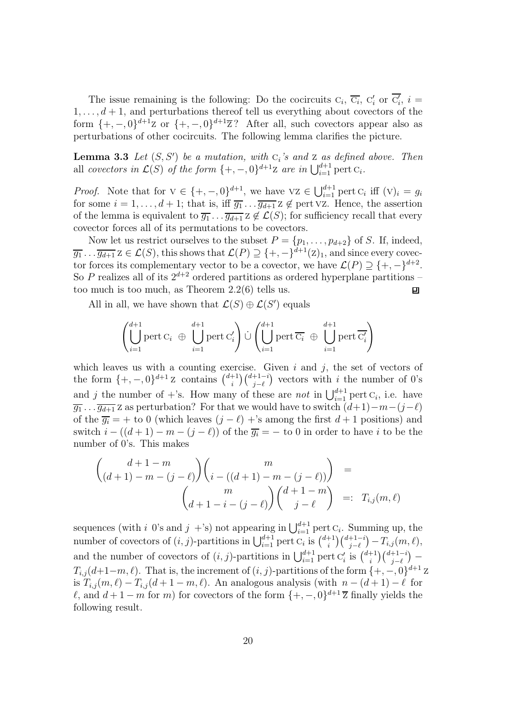The issue remaining is the following: Do the cocircuits  $C_i$ ,  $\overline{C_i}$ ,  $C'_i$  or  $\overline{C'_i}$ ,  $i =$  $1, \ldots, d+1$ , and perturbations thereof tell us everything about covectors of the form  $\{+,-,0\}^{d+1}Z$  or  $\{+,-,0\}^{d+1}\overline{Z}$ ? After all, such covectors appear also as perturbations of other cocircuits. The following lemma clarifies the picture.

**Lemma 3.3** Let  $(S, S')$  be a mutation, with  $C_i$ 's and  $Z$  as defined above. Then all covectors in  $\mathcal{L}(S)$  of the form  $\{+,-,0\}^{d+1}Z$  are in  $\bigcup_{i=1}^{d+1}$  pert  $C_i$ .

*Proof.* Note that for  $V \in \{+, -, 0\}^{d+1}$ , we have  $VZ \in \bigcup_{i=1}^{d+1} \text{pert } C_i$  iff  $(V)_i = g_i$ for some  $i = 1, \ldots, d + 1$ ; that is, iff  $\overline{g_1} \ldots \overline{g_{d+1}} z \notin \text{pert} \,\forall z$ . Hence, the assertion of the lemma is equivalent to  $\overline{g_1} \dots \overline{g_{d+1}} z \notin \mathcal{L}(S)$ ; for sufficiency recall that every covector forces all of its permutations to be covectors.

Now let us restrict ourselves to the subset  $P = \{p_1, \ldots, p_{d+2}\}\$  of S. If, indeed,  $\overline{g_1} \ldots \overline{g_{d+1}}$   $z \in \mathcal{L}(S)$ , this shows that  $\mathcal{L}(P) \supseteq {\{+, -\}}^{d+1}(z)_1$ , and since every covector forces its complementary vector to be a covector, we have  $\mathcal{L}(P) \supseteq \{+,-\}^{d+2}.$ So P realizes all of its  $2^{d+2}$  ordered partitions as ordered hyperplane partitions – too much is too much, as Theorem 2.2(6) tells us. 凹

All in all, we have shown that  $\mathcal{L}(S) \oplus \mathcal{L}(S')$  equals

$$
\left(\bigcup_{i=1}^{d+1}\text{pert } \mathbf{C}_i~\oplus~\bigcup_{i=1}^{d+1}\text{pert } \mathbf{C}_i'\right)\dot\cup\left(\bigcup_{i=1}^{d+1}\text{pert }\overline{\mathbf{C}_i}~\oplus~\bigcup_{i=1}^{d+1}\text{pert }\overline{\mathbf{C}_i'}\right)
$$

which leaves us with a counting exercise. Given  $i$  and  $j$ , the set of vectors of the form  $\{+,-,0\}^{d+1}$  z contains  $\binom{d+1}{i}$  $\binom{i+1}{i-\ell}$  vectors with i the number of 0's and j the number of +'s. How many of these are *not* in  $\bigcup_{i=1}^{d+1}$  pert  $C_i$ , i.e. have  $\overline{g_1} \ldots \overline{g_{d+1}}$  z as perturbation? For that we would have to switch  $(d+1)-m-(j-\ell)$ of the  $\overline{g_i}$  = + to 0 (which leaves  $(j - \ell)$  +'s among the first  $d + 1$  positions) and switch  $i - ((d + 1) - m - (j - \ell))$  of the  $\overline{g_i} = -\text{ to } 0$  in order to have i to be the number of 0's. This makes

$$
\begin{pmatrix} d+1-m \\ (d+1)-m-(j-\ell) \end{pmatrix} \begin{pmatrix} m \\ i-((d+1)-m-(j-\ell)) \end{pmatrix} = \\ \begin{pmatrix} m \\ d+1-i-(j-\ell) \end{pmatrix} \begin{pmatrix} d+1-m \\ j-\ell \end{pmatrix} =: T_{i,j}(m,\ell)
$$

sequences (with i 0's and j +'s) not appearing in  $\bigcup_{i=1}^{d+1}$  pert  $C_i$ . Summing up, the number of covectors of  $(i, j)$ -partitions in  $\bigcup_{i=1}^{d+1}$  pert  $C_i$  is  $\binom{d+1}{i}$  $\binom{d+1-i}{j-\ell}-T_{i,j}(m,\ell),$ and the number of covectors of  $(i, j)$ -partitions in  $\bigcup_{i=1}^{d+1}$  pert  $C_i'$  is  $\binom{d+1}{i}$  $\binom{+1}{i}\binom{d+1-i}{j-\ell}$  —  $T_{i,j}(d+1-m,\ell)$ . That is, the increment of  $(i, j)$ -partitions of the form  $\{+,-,0\}^{d+1}$  z is  $T_{i,j}(m,\ell) - T_{i,j}(d+1-m,\ell)$ . An analogous analysis (with  $n - (d+1) - \ell$  for l, and  $d+1-m$  for m) for covectors of the form  $\{+,-,0\}^{d+1}$  Z finally yields the following result.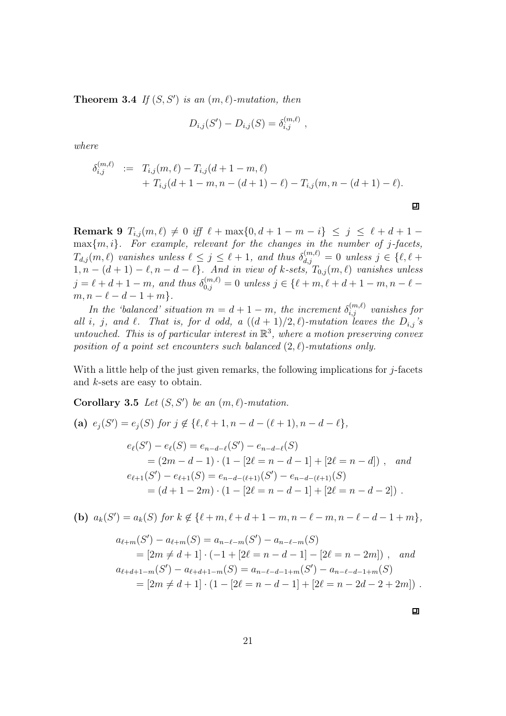**Theorem 3.4** If  $(S, S')$  is an  $(m, \ell)$ -mutation, then

$$
D_{i,j}(S') - D_{i,j}(S) = \delta_{i,j}^{(m,\ell)} \; ,
$$

where

$$
\delta_{i,j}^{(m,\ell)} := T_{i,j}(m,\ell) - T_{i,j}(d+1-m,\ell) + T_{i,j}(d+1-m,n-(d+1)-\ell) - T_{i,j}(m,n-(d+1)-\ell).
$$

Remark 9  $T_{i,j}(m,\ell) \neq 0$  iff  $\ell + \max\{0, d+1-m-i\} \leq j \leq \ell+d+1$  $\max\{m, i\}$ . For example, relevant for the changes in the number of j-facets,  $T_{d,j}(m,\ell)$  vanishes unless  $\ell \leq j \leq \ell + 1$ , and thus  $\delta_{d,j}^{(m,\ell)} = 0$  unless  $j \in \{\ell, \ell + 1\}$  $1, n - (d + 1) - \ell, n - d - \ell$ . And in view of k-sets,  $T_{0,j}(m, \ell)$  vanishes unless  $j = \ell + d + 1 - m$ , and thus  $\delta_{0,j}^{(m,\ell)} = 0$  unless  $j \in \{\ell+m, \ell+d+1-m, n-\ell-1\}$  $m, n - \ell - d - 1 + m$ .

In the 'balanced' situation  $m = d + 1 - m$ , the increment  $\delta_{i,j}^{(m,\ell)}$  vanishes for all i, j, and  $\ell$ . That is, for d odd, a  $((d+1)/2, \ell)$ -mutation leaves the  $D_{i,j}$ 's untouched. This is of particular interest in  $\mathbb{R}^3$ , where a motion preserving convex position of a point set encounters such balanced  $(2, \ell)$ -mutations only.

With a little help of the just given remarks, the following implications for  $j$ -facets and k-sets are easy to obtain.

Corollary 3.5 Let  $(S, S')$  be an  $(m, \ell)$ -mutation.

(a) 
$$
e_j(S') = e_j(S)
$$
 for  $j \notin \{\ell, \ell + 1, n - d - (\ell + 1), n - d - \ell\},$   
\n
$$
e_\ell(S') - e_\ell(S) = e_{n-d-\ell}(S') - e_{n-d-\ell}(S)
$$
\n
$$
= (2m - d - 1) \cdot (1 - [2\ell = n - d - 1] + [2\ell = n - d]) , \text{ and}
$$
\n
$$
e_{\ell+1}(S') - e_{\ell+1}(S) = e_{n-d-(\ell+1)}(S') - e_{n-d-(\ell+1)}(S)
$$
\n
$$
= (d + 1 - 2m) \cdot (1 - [2\ell = n - d - 1] + [2\ell = n - d - 2]).
$$

(b)  $a_k(S') = a_k(S)$  for  $k \notin \{\ell+m, \ell+d+1-m, n-\ell-m, n-\ell-d-1+m\},\$ 

$$
a_{\ell+m}(S') - a_{\ell+m}(S) = a_{n-\ell-m}(S') - a_{n-\ell-m}(S)
$$
  
=  $[2m \neq d+1] \cdot (-1 + [2\ell = n - d - 1] - [2\ell = n - 2m])$ , and  

$$
a_{\ell+d+1-m}(S') - a_{\ell+d+1-m}(S) = a_{n-\ell-d-1+m}(S') - a_{n-\ell-d-1+m}(S)
$$
  
=  $[2m \neq d+1] \cdot (1 - [2\ell = n - d - 1] + [2\ell = n - 2d - 2 + 2m])$ .

回

口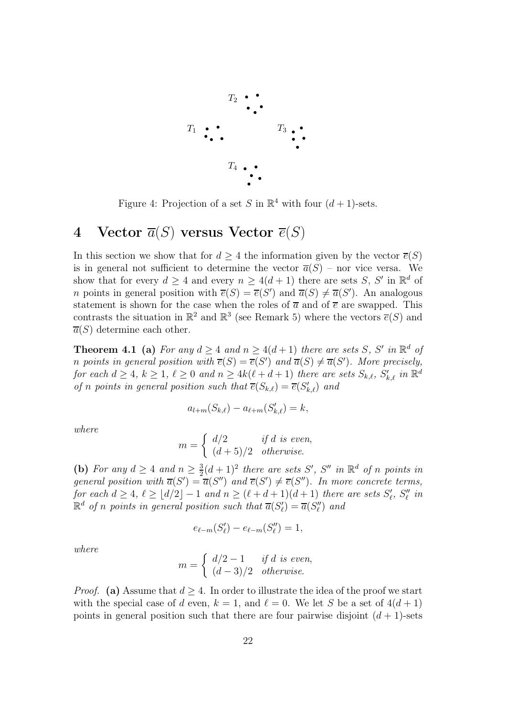

Figure 4: Projection of a set S in  $\mathbb{R}^4$  with four  $(d+1)$ -sets.

### 4 Vector  $\overline{a}(S)$  versus Vector  $\overline{e}(S)$

In this section we show that for  $d \geq 4$  the information given by the vector  $\overline{e}(S)$ is in general not sufficient to determine the vector  $\overline{a}(S)$  – nor vice versa. We show that for every  $d \geq 4$  and every  $n \geq 4(d+1)$  there are sets S, S' in  $\mathbb{R}^d$  of *n* points in general position with  $\overline{e}(S) = \overline{e}(S')$  and  $\overline{a}(S) \neq \overline{a}(S')$ . An analogous statement is shown for the case when the roles of  $\overline{a}$  and of  $\overline{e}$  are swapped. This contrasts the situation in  $\mathbb{R}^2$  and  $\mathbb{R}^3$  (see Remark 5) where the vectors  $\overline{e}(S)$  and  $\overline{a}(S)$  determine each other.

**Theorem 4.1** (a) For any  $d \ge 4$  and  $n \ge 4(d+1)$  there are sets S, S' in  $\mathbb{R}^d$  of *n* points in general position with  $\overline{e}(S) = \overline{e}(S')$  and  $\overline{a}(S) \neq \overline{a}(S')$ . More precisely, for each  $d \ge 4$ ,  $k \ge 1$ ,  $\ell \ge 0$  and  $n \ge 4k(\ell+d+1)$  there are sets  $S_{k,\ell}$ ,  $S'_{k,\ell}$  in  $\mathbb{R}^d$ of n points in general position such that  $\overline{e}(S_{k,\ell}) = \overline{e}(S'_{k,\ell})$  and

$$
a_{l+m}(S_{k,\ell})-a_{\ell+m}(S'_{k,\ell})=k,
$$

where

$$
m = \begin{cases} d/2 & if d \text{ is even,} \\ (d+5)/2 & otherwise. \end{cases}
$$

(b) For any  $d \geq 4$  and  $n \geq \frac{3}{2}$  $\frac{3}{2}(d+1)^2$  there are sets S', S'' in  $\mathbb{R}^d$  of n points in general position with  $\overline{a}(S') = \overline{a}(S'')$  and  $\overline{e}(S') \neq \overline{e}(S'')$ . In more concrete terms, for each  $d \geq 4$ ,  $\ell \geq \lfloor d/2 \rfloor - 1$  and  $n \geq (\ell + d + 1)(d + 1)$  there are sets  $S'_{\ell}$ ,  $S''_{\ell}$  in  $\mathbb{R}^d$  of n points in general position such that  $\overline{a}(S'_\ell) = \overline{a}(S''_\ell)$  and

$$
e_{\ell-m}(S'_{\ell})-e_{\ell-m}(S''_{\ell})=1,
$$

where

$$
m = \begin{cases} d/2 - 1 & \text{if } d \text{ is even,} \\ (d-3)/2 & \text{otherwise.} \end{cases}
$$

*Proof.* (a) Assume that  $d > 4$ . In order to illustrate the idea of the proof we start with the special case of d even,  $k = 1$ , and  $\ell = 0$ . We let S be a set of  $4(d+1)$ points in general position such that there are four pairwise disjoint  $(d+1)$ -sets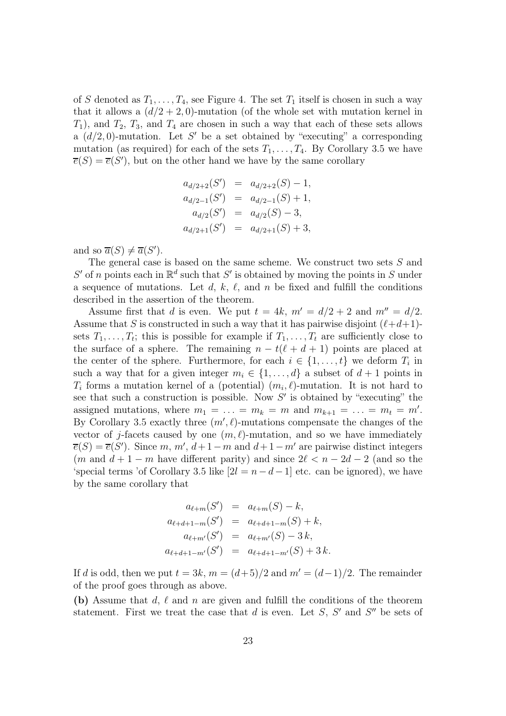of S denoted as  $T_1, \ldots, T_4$ , see Figure 4. The set  $T_1$  itself is chosen in such a way that it allows a  $(d/2+2,0)$ -mutation (of the whole set with mutation kernel in  $T_1$ , and  $T_2$ ,  $T_3$ , and  $T_4$  are chosen in such a way that each of these sets allows a  $(d/2, 0)$ -mutation. Let S' be a set obtained by "executing" a corresponding mutation (as required) for each of the sets  $T_1, \ldots, T_4$ . By Corollary 3.5 we have  $\overline{e}(S) = \overline{e}(S')$ , but on the other hand we have by the same corollary

$$
a_{d/2+2}(S') = a_{d/2+2}(S) - 1,
$$
  
\n
$$
a_{d/2-1}(S') = a_{d/2-1}(S) + 1,
$$
  
\n
$$
a_{d/2}(S') = a_{d/2}(S) - 3,
$$
  
\n
$$
a_{d/2+1}(S') = a_{d/2+1}(S) + 3,
$$

and so  $\overline{a}(S) \neq \overline{a}(S')$ .

The general case is based on the same scheme. We construct two sets S and  $S'$  of n points each in  $\mathbb{R}^d$  such that  $S'$  is obtained by moving the points in S under a sequence of mutations. Let d, k,  $\ell$ , and n be fixed and fulfill the conditions described in the assertion of the theorem.

Assume first that d is even. We put  $t = 4k$ ,  $m' = d/2 + 2$  and  $m'' = d/2$ . Assume that S is constructed in such a way that it has pairwise disjoint  $(\ell+d+1)$ sets  $T_1, \ldots, T_t$ ; this is possible for example if  $T_1, \ldots, T_t$  are sufficiently close to the surface of a sphere. The remaining  $n - t(\ell + d + 1)$  points are placed at the center of the sphere. Furthermore, for each  $i \in \{1, \ldots, t\}$  we deform  $T_i$  in such a way that for a given integer  $m_i \in \{1, \ldots, d\}$  a subset of  $d+1$  points in  $T_i$  forms a mutation kernel of a (potential)  $(m_i, \ell)$ -mutation. It is not hard to see that such a construction is possible. Now  $S'$  is obtained by "executing" the assigned mutations, where  $m_1 = \ldots = m_k = m$  and  $m_{k+1} = \ldots = m_t = m'$ . By Corollary 3.5 exactly three  $(m', \ell)$ -mutations compensate the changes of the vector of j-facets caused by one  $(m, \ell)$ -mutation, and so we have immediately  $\overline{e}(S) = \overline{e}(S')$ . Since m, m',  $d+1-m$  and  $d+1-m'$  are pairwise distinct integers  $(m \text{ and } d+1-m \text{ have different parity})$  and since  $2\ell < n-2d-2$  (and so the 'special terms 'of Corollary 3.5 like  $[2l = n - d - 1]$  etc. can be ignored), we have by the same corollary that

$$
a_{\ell+m}(S') = a_{\ell+m}(S) - k,
$$
  
\n
$$
a_{\ell+d+1-m}(S') = a_{\ell+d+1-m}(S) + k,
$$
  
\n
$$
a_{\ell+m'}(S') = a_{\ell+m'}(S) - 3k,
$$
  
\n
$$
a_{\ell+d+1-m'}(S') = a_{\ell+d+1-m'}(S) + 3k.
$$

If d is odd, then we put  $t = 3k$ ,  $m = (d+5)/2$  and  $m' = (d-1)/2$ . The remainder of the proof goes through as above.

(b) Assume that d,  $\ell$  and n are given and fulfill the conditions of the theorem statement. First we treat the case that  $d$  is even. Let  $S, S'$  and  $S''$  be sets of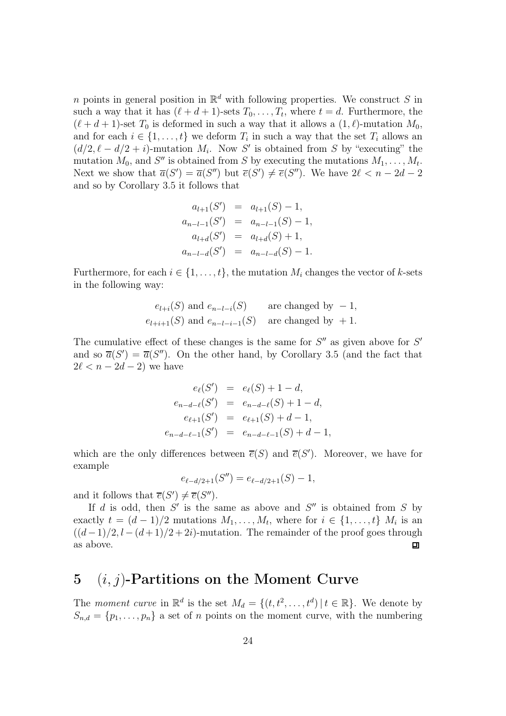n points in general position in  $\mathbb{R}^d$  with following properties. We construct S in such a way that it has  $(\ell + d + 1)$ -sets  $T_0, \ldots, T_t$ , where  $t = d$ . Furthermore, the  $(\ell + d + 1)$ -set  $T_0$  is deformed in such a way that it allows a  $(1, \ell)$ -mutation  $M_0$ , and for each  $i \in \{1, \ldots, t\}$  we deform  $T_i$  in such a way that the set  $T_i$  allows an  $(d/2, \ell - d/2 + i)$ -mutation  $M_i$ . Now S' is obtained from S by "executing" the mutation  $M_0$ , and  $S''$  is obtained from S by executing the mutations  $M_1, \ldots, M_t$ . Next we show that  $\overline{a}(S') = \overline{a}(S'')$  but  $\overline{e}(S') \neq \overline{e}(S'')$ . We have  $2\ell < n - 2d - 2$ and so by Corollary 3.5 it follows that

$$
a_{l+1}(S') = a_{l+1}(S) - 1,
$$
  
\n
$$
a_{n-l-1}(S') = a_{n-l-1}(S) - 1,
$$
  
\n
$$
a_{l+d}(S') = a_{l+d}(S) + 1,
$$
  
\n
$$
a_{n-l-d}(S') = a_{n-l-d}(S) - 1.
$$

Furthermore, for each  $i \in \{1, \ldots, t\}$ , the mutation  $M_i$  changes the vector of k-sets in the following way:

$$
e_{l+i}(S)
$$
 and  $e_{n-l-i}(S)$  are changed by  $-1$ ,  
 $e_{l+i+1}(S)$  and  $e_{n-l-i-1}(S)$  are changed by  $+1$ .

The cumulative effect of these changes is the same for  $S''$  as given above for  $S'$ and so  $\overline{a}(S') = \overline{a}(S'')$ . On the other hand, by Corollary 3.5 (and the fact that  $2\ell < n - 2d - 2$  we have

$$
e_{\ell}(S') = e_{\ell}(S) + 1 - d,
$$
  
\n
$$
e_{n-d-\ell}(S') = e_{n-d-\ell}(S) + 1 - d,
$$
  
\n
$$
e_{\ell+1}(S') = e_{\ell+1}(S) + d - 1,
$$
  
\n
$$
e_{n-d-\ell-1}(S') = e_{n-d-\ell-1}(S) + d - 1,
$$

which are the only differences between  $\overline{e}(S)$  and  $\overline{e}(S')$ . Moreover, we have for example

$$
e_{\ell-d/2+1}(S'') = e_{\ell-d/2+1}(S) - 1,
$$

and it follows that  $\overline{e}(S') \neq \overline{e}(S'')$ .

If d is odd, then  $S'$  is the same as above and  $S''$  is obtained from S by exactly  $t = (d-1)/2$  mutations  $M_1, \ldots, M_t$ , where for  $i \in \{1, \ldots, t\}$   $M_i$  is an  $((d-1)/2, l - (d+1)/2 + 2i)$ -mutation. The remainder of the proof goes through as above.  $\Box$ 

### 5  $(i, j)$ -Partitions on the Moment Curve

The moment curve in  $\mathbb{R}^d$  is the set  $M_d = \{(t, t^2, \dots, t^d) | t \in \mathbb{R}\}$ . We denote by  $S_{n,d} = \{p_1, \ldots, p_n\}$  a set of n points on the moment curve, with the numbering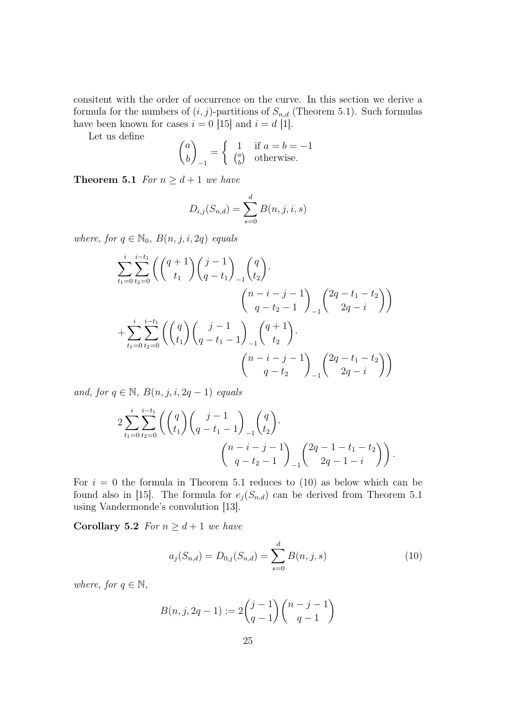consitent with the order of occurrence on the curve. In this section we derive a formula for the numbers of  $(i, j)$ -partitions of  $S_{n,d}$  (Theorem 5.1). Such formulas have been known for cases  $i = 0$  [15] and  $i = d$  [1].

Let us define

$$
\begin{pmatrix} a \\ b \end{pmatrix}_{-1} = \begin{cases} 1 & \text{if } a = b = -1 \\ \begin{pmatrix} a \\ b \end{pmatrix} & \text{otherwise.} \end{cases}
$$

**Theorem 5.1** For  $n \geq d+1$  we have

$$
D_{i,j}(S_{n,d}) = \sum_{s=0}^{d} B(n,j,i,s)
$$

where, for  $q \in \mathbb{N}_0$ ,  $B(n, j, i, 2q)$  equals

$$
\sum_{t_1=0}^{i} \sum_{t_2=0}^{i-t_1} \left( \binom{q+1}{t_1} \binom{j-1}{q-t_1}_{-1} \binom{q}{t_2} \right) \cdot \left( \binom{n-i-j-1}{q-t_2-1} \binom{2q-t_1-t_2}{2q-i} \right)
$$
\n
$$
+ \sum_{t_1=0}^{i} \sum_{t_2=0}^{i-t_1} \left( \binom{q}{t_1} \binom{j-1}{q-t_1-1}_{-1} \binom{q+1}{t_2} \right) \cdot \left( \binom{n-i-j-1}{q-t_2} \right) \cdot \left( \binom{n-i-j-1}{q-t_2} \right)
$$

and, for  $q \in \mathbb{N}$ ,  $B(n, j, i, 2q - 1)$  equals

$$
2\sum_{t_1=0}^{i} \sum_{t_2=0}^{i-t_1} \left( {q \choose t_1} {j-1 \choose q-t_1-1}_{-1} {q \choose t_2} \right) \cdot \left( {n-i-j-1 \choose q-t_2-1}_{-1} {2q-1-t_1-t_2 \choose 2q-1-i} \right).
$$

For  $i = 0$  the formula in Theorem 5.1 reduces to (10) as below which can be found also in [15]. The formula for  $e_j(S_{n,d})$  can be derived from Theorem 5.1 using Vandermonde's convolution [13].

Corollary 5.2 For  $n \geq d+1$  we have

$$
a_j(S_{n,d}) = D_{0,j}(S_{n,d}) = \sum_{s=0}^d B(n,j,s)
$$
 (10)

where, for  $q \in \mathbb{N}$ ,

$$
B(n, j, 2q - 1) := 2\binom{j - 1}{q - 1}\binom{n - j - 1}{q - 1}
$$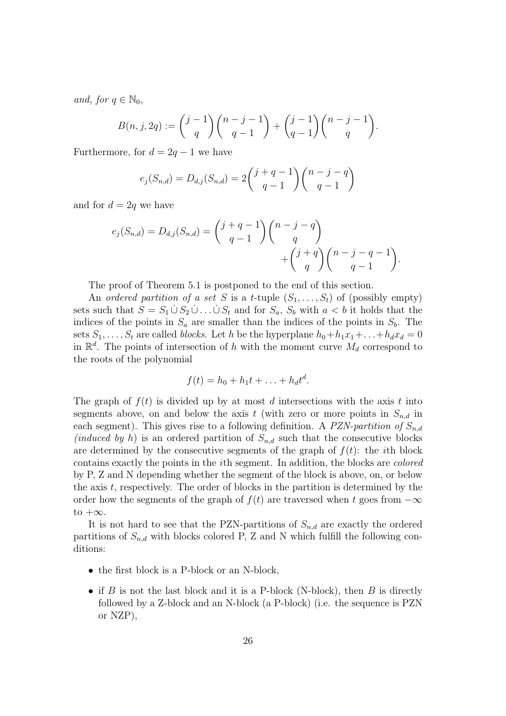and, for  $q \in \mathbb{N}_0$ ,

$$
B(n, j, 2q) := {j-1 \choose q} {n-j-1 \choose q-1} + {j-1 \choose q-1} {n-j-1 \choose q}.
$$

Furthermore, for  $d = 2q - 1$  we have

$$
e_j(S_{n,d}) = D_{d,j}(S_{n,d}) = 2\binom{j+q-1}{q-1}\binom{n-j-q}{q-1}
$$

and for  $d = 2q$  we have

$$
e_j(S_{n,d}) = D_{d,j}(S_{n,d}) = {j+q-1 \choose q-1} {n-j-q \choose q} + {j+q \choose q} {n-j-q-1 \choose q-1}.
$$

The proof of Theorem 5.1 is postponed to the end of this section.

An ordered partition of a set S is a t-tuple  $(S_1, \ldots, S_t)$  of (possibly empty) sets such that  $S = S_1 \cup S_2 \cup ... \cup S_t$  and for  $S_a$ ,  $S_b$  with  $a < b$  it holds that the indices of the points in  $S_a$  are smaller than the indices of the points in  $S_b$ . The sets  $S_1, \ldots, S_t$  are called blocks. Let h be the hyperplane  $h_0+h_1x_1+\ldots+h_dx_d = 0$ in  $\mathbb{R}^d$ . The points of intersection of h with the moment curve  $M_d$  correspond to the roots of the polynomial

$$
f(t) = h_0 + h_1 t + \ldots + h_d t^d.
$$

The graph of  $f(t)$  is divided up by at most d intersections with the axis t into segments above, on and below the axis t (with zero or more points in  $S_{n,d}$  in each segment). This gives rise to a following definition. A PZN-partition of  $S_{n,d}$ (induced by h) is an ordered partition of  $S_{n,d}$  such that the consecutive blocks are determined by the consecutive segments of the graph of  $f(t)$ : the *i*th block contains exactly the points in the ith segment. In addition, the blocks are colored by P, Z and N depending whether the segment of the block is above, on, or below the axis  $t$ , respectively. The order of blocks in the partition is determined by the order how the segments of the graph of  $f(t)$  are traversed when t goes from  $-\infty$ to  $+\infty$ .

It is not hard to see that the PZN-partitions of  $S_{n,d}$  are exactly the ordered partitions of  $S_{n,d}$  with blocks colored P, Z and N which fulfill the following conditions:

- the first block is a P-block or an N-block,
- if B is not the last block and it is a P-block (N-block), then B is directly followed by a Z-block and an N-block (a P-block) (i.e. the sequence is PZN or NZP),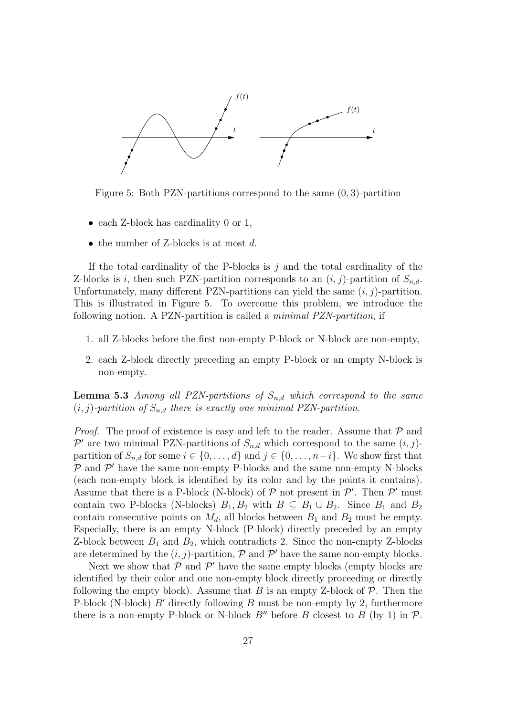

Figure 5: Both PZN-partitions correspond to the same (0, 3)-partition

- each Z-block has cardinality 0 or 1,
- the number of Z-blocks is at most  $d$ .

If the total cardinality of the P-blocks is  $j$  and the total cardinality of the Z-blocks is i, then such PZN-partition corresponds to an  $(i, j)$ -partition of  $S_{n,d}$ . Unfortunately, many different PZN-partitions can yield the same  $(i, j)$ -partition. This is illustrated in Figure 5. To overcome this problem, we introduce the following notion. A PZN-partition is called a minimal PZN-partition, if

- 1. all Z-blocks before the first non-empty P-block or N-block are non-empty,
- 2. each Z-block directly preceding an empty P-block or an empty N-block is non-empty.

**Lemma 5.3** Among all PZN-partitions of  $S_{n,d}$  which correspond to the same  $(i, j)$ -partition of  $S_{n,d}$  there is exactly one minimal PZN-partition.

*Proof.* The proof of existence is easy and left to the reader. Assume that  $P$  and  $\mathcal{P}'$  are two minimal PZN-partitions of  $S_{n,d}$  which correspond to the same  $(i, j)$ partition of  $S_{n,d}$  for some  $i \in \{0,\ldots,d\}$  and  $j \in \{0,\ldots,n-i\}$ . We show first that  $P$  and  $P'$  have the same non-empty P-blocks and the same non-empty N-blocks (each non-empty block is identified by its color and by the points it contains). Assume that there is a P-block (N-block) of  $P$  not present in  $P'$ . Then  $P'$  must contain two P-blocks (N-blocks)  $B_1, B_2$  with  $B \subseteq B_1 \cup B_2$ . Since  $B_1$  and  $B_2$ contain consecutive points on  $M_d$ , all blocks between  $B_1$  and  $B_2$  must be empty. Especially, there is an empty N-block (P-block) directly preceded by an empty Z-block between  $B_1$  and  $B_2$ , which contradicts 2. Since the non-empty Z-blocks are determined by the  $(i, j)$ -partition,  $P$  and  $P'$  have the same non-empty blocks.

Next we show that  $P$  and  $P'$  have the same empty blocks (empty blocks are identified by their color and one non-empty block directly proceeding or directly following the empty block). Assume that B is an empty Z-block of  $\mathcal{P}$ . Then the P-block (N-block)  $B'$  directly following B must be non-empty by 2, furthermore there is a non-empty P-block or N-block  $B''$  before B closest to B (by 1) in P.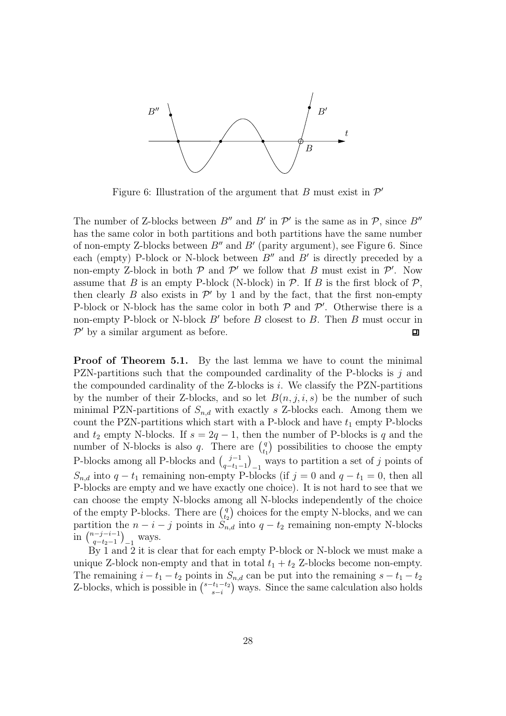

Figure 6: Illustration of the argument that B must exist in  $\mathcal{P}'$ 

The number of Z-blocks between  $B''$  and  $B'$  in  $\mathcal{P}'$  is the same as in  $\mathcal{P}$ , since  $B''$ has the same color in both partitions and both partitions have the same number of non-empty Z-blocks between  $B''$  and  $B'$  (parity argument), see Figure 6. Since each (empty) P-block or N-block between  $B''$  and  $B'$  is directly preceded by a non-empty Z-block in both  $P$  and  $P'$  we follow that B must exist in  $P'$ . Now assume that B is an empty P-block (N-block) in  $P$ . If B is the first block of  $P$ , then clearly  $B$  also exists in  $\mathcal{P}'$  by 1 and by the fact, that the first non-empty P-block or N-block has the same color in both  $P$  and  $P'$ . Otherwise there is a non-empty P-block or N-block  $B'$  before  $B$  closest to  $B$ . Then  $B$  must occur in  $P'$  by a similar argument as before.  $\Box$ 

Proof of Theorem 5.1. By the last lemma we have to count the minimal PZN-partitions such that the compounded cardinality of the P-blocks is  $j$  and the compounded cardinality of the  $Z$ -blocks is i. We classify the PZN-partitions by the number of their Z-blocks, and so let  $B(n, j, i, s)$  be the number of such minimal PZN-partitions of  $S_{n,d}$  with exactly s Z-blocks each. Among them we count the PZN-partitions which start with a P-block and have  $t_1$  empty P-blocks and  $t_2$  empty N-blocks. If  $s = 2q - 1$ , then the number of P-blocks is q and the number of N-blocks is also q. There are  $\binom{q}{t}$  $_{t_1}^{q}$ ) possibilities to choose the empty P-blocks among all P-blocks and  $\binom{j-1}{q-t_1}$  $\binom{j-1}{q-t_1-1}_{-1}$  ways to partition a set of j points of  $S_{n,d}$  into  $q-t_1$  remaining non-empty P-blocks (if  $j=0$  and  $q-t_1=0$ , then all P-blocks are empty and we have exactly one choice). It is not hard to see that we can choose the empty N-blocks among all N-blocks independently of the choice of the empty P-blocks. There are  $\binom{q}{te}$  $t_2$ ) choices for the empty N-blocks, and we can partition the  $n - i - j$  points in  $S_{n,d}$  into  $q - t_2$  remaining non-empty N-blocks in  $\binom{n-j-i-1}{a-t_0-1}$  $\binom{n-j-i-1}{q-t_2-1}$  ways.

By 1 and 2 it is clear that for each empty P-block or N-block we must make a unique Z-block non-empty and that in total  $t_1 + t_2$  Z-blocks become non-empty. The remaining  $i - t_1 - t_2$  points in  $S_{n,d}$  can be put into the remaining  $s - t_1 - t_2$ Z-blocks, which is possible in  $\binom{s-t_1-t_2}{s-t_1}$  $\binom{t_1-t_2}{s-i}$  ways. Since the same calculation also holds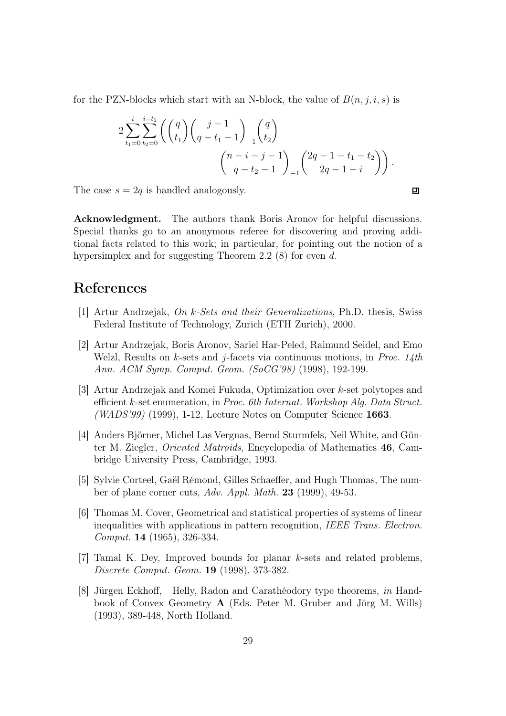for the PZN-blocks which start with an N-block, the value of  $B(n, j, i, s)$  is

$$
2\sum_{t_1=0}^{i} \sum_{t_2=0}^{i-t_1} \left( {q \choose t_1} {j-1 \choose q-t_1-1}_{-1} {q \choose t_2} \right) \n\binom{n-i-j-1}{q-t_2-1}_{-1} {2q-1-t_1-t_2 \choose 2q-1-i}.
$$

The case  $s = 2q$  is handled analogously.

Acknowledgment. The authors thank Boris Aronov for helpful discussions. Special thanks go to an anonymous referee for discovering and proving additional facts related to this work; in particular, for pointing out the notion of a hypersimplex and for suggesting Theorem 2.2 (8) for even d.

## References

- [1] Artur Andrzejak, On k-Sets and their Generalizations, Ph.D. thesis, Swiss Federal Institute of Technology, Zurich (ETH Zurich), 2000.
- [2] Artur Andrzejak, Boris Aronov, Sariel Har-Peled, Raimund Seidel, and Emo Welzl, Results on k-sets and j-facets via continuous motions, in Proc. 14th Ann. ACM Symp. Comput. Geom. (SoCG'98) (1998), 192-199.
- [3] Artur Andrzejak and Komei Fukuda, Optimization over k-set polytopes and efficient k-set enumeration, in Proc. 6th Internat. Workshop Alg. Data Struct.  $(WADS'99)$  (1999), 1-12, Lecture Notes on Computer Science 1663.
- [4] Anders Björner, Michel Las Vergnas, Bernd Sturmfels, Neil White, and Günter M. Ziegler, Oriented Matroids, Encyclopedia of Mathematics 46, Cambridge University Press, Cambridge, 1993.
- [5] Sylvie Corteel, Gaël Rémond, Gilles Schaeffer, and Hugh Thomas, The number of plane corner cuts, Adv. Appl. Math. 23 (1999), 49-53.
- [6] Thomas M. Cover, Geometrical and statistical properties of systems of linear inequalities with applications in pattern recognition, IEEE Trans. Electron. Comput. 14 (1965), 326-334.
- [7] Tamal K. Dey, Improved bounds for planar k-sets and related problems, Discrete Comput. Geom. 19 (1998), 373-382.
- [8] Jürgen Eckhoff, Helly, Radon and Carathéodory type theorems, in Handbook of Convex Geometry A (Eds. Peter M. Gruber and Jörg M. Wills) (1993), 389-448, North Holland.

口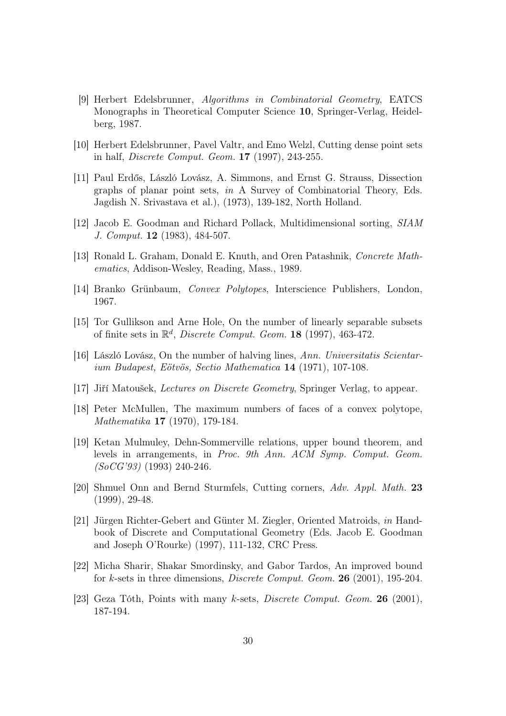- [9] Herbert Edelsbrunner, Algorithms in Combinatorial Geometry, EATCS Monographs in Theoretical Computer Science 10, Springer-Verlag, Heidelberg, 1987.
- [10] Herbert Edelsbrunner, Pavel Valtr, and Emo Welzl, Cutting dense point sets in half, Discrete Comput. Geom. 17 (1997), 243-255.
- [11] Paul Erdős, László Lovász, A. Simmons, and Ernst G. Strauss, Dissection graphs of planar point sets, in A Survey of Combinatorial Theory, Eds. Jagdish N. Srivastava et al.), (1973), 139-182, North Holland.
- [12] Jacob E. Goodman and Richard Pollack, Multidimensional sorting, SIAM J. Comput. 12 (1983), 484-507.
- [13] Ronald L. Graham, Donald E. Knuth, and Oren Patashnik, Concrete Mathematics, Addison-Wesley, Reading, Mass., 1989.
- [14] Branko Grünbaum, Convex Polytopes, Interscience Publishers, London, 1967.
- [15] Tor Gullikson and Arne Hole, On the number of linearly separable subsets of finite sets in  $\mathbb{R}^d$ , *Discrete Comput. Geom.* **18** (1997), 463-472.
- [16] László Lovász, On the number of halving lines, Ann. Universitatis Scientarium Budapest, Eötvös, Sectio Mathematica 14 (1971), 107-108.
- [17] Jiří Matoušek, Lectures on Discrete Geometry, Springer Verlag, to appear.
- [18] Peter McMullen, The maximum numbers of faces of a convex polytope, Mathematika 17 (1970), 179-184.
- [19] Ketan Mulmuley, Dehn-Sommerville relations, upper bound theorem, and levels in arrangements, in Proc. 9th Ann. ACM Symp. Comput. Geom.  $(SoCG'93)$  (1993) 240-246.
- [20] Shmuel Onn and Bernd Sturmfels, Cutting corners, Adv. Appl. Math. 23 (1999), 29-48.
- [21] Jürgen Richter-Gebert and Günter M. Ziegler, Oriented Matroids, in Handbook of Discrete and Computational Geometry (Eds. Jacob E. Goodman and Joseph O'Rourke) (1997), 111-132, CRC Press.
- [22] Micha Sharir, Shakar Smordinsky, and Gabor Tardos, An improved bound for k-sets in three dimensions, Discrete Comput. Geom. 26 (2001), 195-204.
- [23] Geza Tóth, Points with many k-sets, *Discrete Comput. Geom.* **26** (2001), 187-194.